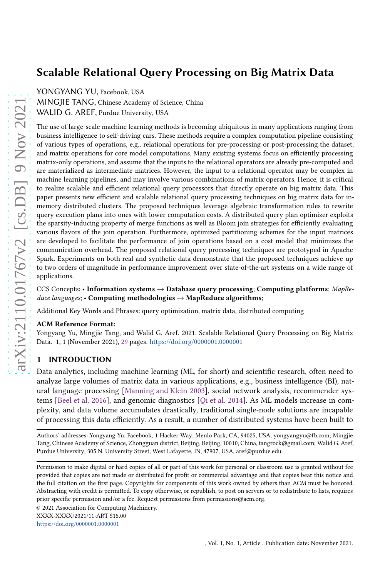YONGYANG YU, Facebook, USA

MINGJIE TANG, Chinese Academy of Science, China WALID G. AREF, Purdue University, USA

The use of large-scale machine learning methods is becoming ubiquitous in many applications ranging from business intelligence to self-driving cars. These methods require a complex computation pipeline consisting of various types of operations, e.g., relational operations for pre-processing or post-processing the dataset, and matrix operations for core model computations. Many existing systems focus on efficiently processing matrix-only operations, and assume that the inputs to the relational operators are already pre-computed and are materialized as intermediate matrices. However, the input to a relational operator may be complex in machine learning pipelines, and may involve various combinations of matrix operators. Hence, it is critical to realize scalable and efficient relational query processors that directly operate on big matrix data. This paper presents new efficient and scalable relational query processing techniques on big matrix data for inmemory distributed clusters. The proposed techniques leverage algebraic transformation rules to rewrite query execution plans into ones with lower computation costs. A distributed query plan optimizer exploits the sparsity-inducing property of merge functions as well as Bloom join strategies for efficiently evaluating various flavors of the join operation. Furthermore, optimized partitioning schemes for the input matrices are developed to facilitate the performance of join operations based on a cost model that minimizes the communication overhead. The proposed relational query processing techniques are prototyped in Apache Spark. Experiments on both real and synthetic data demonstrate that the proposed techniques achieve up to two orders of magnitude in performance improvement over state-of-the-art systems on a wide range of applications.

## CCS Concepts: • Information systems  $\rightarrow$  Database query processing; Computing platforms; MapReduce languages; • Computing methodologies  $\rightarrow$  MapReduce algorithms;

Additional Key Words and Phrases: query optimization, matrix data, distributed computing

#### ACM Reference Format:

Yongyang Yu, Mingjie Tang, and Walid G. Aref. 2021. Scalable Relational Query Processing on Big Matrix Data. 1, 1 (November 2021), [29](#page-28-0) pages. <https://doi.org/0000001.0000001>

# 1 INTRODUCTION

Data analytics, including machine learning (ML, for short) and scientific research, often need to analyze large volumes of matrix data in various applications, e.g., business intelligence (BI), natural language processing [\[Manning and Klein 2003\]](#page-26-0), social network analysis, recommender systems [\[Beel et al. 2016\]](#page-25-0), and genomic diagnostics [\[Qi et al. 2014\]](#page-26-1). As ML models increase in complexity, and data volume accumulates drastically, traditional single-node solutions are incapable of processing this data efficiently. As a result, a number of distributed systems have been built to

Authors' addresses: Yongyang Yu, Facebook, 1 Hacker Way, Menlo Park, CA, 94025, USA, yongyangyu@fb.com; Mingjie Tang, Chinese Academy of Science, Zhongguan district, Beijing, Beijing, 10010, China, tangrock@gmail.com; Walid G. Aref, Purdue University, 305 N. University Street, West Lafayette, IN, 47907, USA, aref@purdue.edu.

Permission to make digital or hard copies of all or part of this work for personal or classroom use is granted without fee provided that copies are not made or distributed for profit or commercial advantage and that copies bear this notice and the full citation on the first page. Copyrights for components of this work owned by others than ACM must be honored. Abstracting with credit is permitted. To copy otherwise, or republish, to post on servers or to redistribute to lists, requires prior specific permission and/or a fee. Request permissions from permissions@acm.org.

<sup>© 2021</sup> Association for Computing Machinery.

<https://doi.org/0000001.0000001>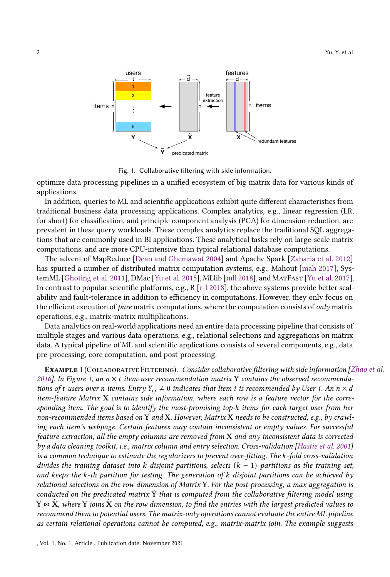<span id="page-1-0"></span>

Fig. 1. Collaborative filtering with side information.

optimize data processing pipelines in a unified ecosystem of big matrix data for various kinds of applications.

In addition, queries to ML and scientific applications exhibit quite different characteristics from traditional business data processing applications. Complex analytics, e.g., linear regression (LR, for short) for classification, and principle component analysis (PCA) for dimension reduction, are prevalent in these query workloads. These complex analytics replace the traditional SQL aggregations that are commonly used in BI applications. These analytical tasks rely on large-scale matrix computations, and are more CPU-intensive than typical relational database computations.

The advent of MapReduce [\[Dean and Ghemawat 2004\]](#page-25-1) and Apache Spark [\[Zaharia et al. 2012\]](#page-27-0) has spurred a number of distributed matrix computation systems, e.g., Mahout [\[mah 2017\]](#page-25-2), SystemML [\[Ghoting et al. 2011\]](#page-26-2), DMac [\[Yu et al. 2015\]](#page-27-1), MLlib [\[mll 2018\]](#page-25-3), and MatFast [\[Yu et al. 2017\]](#page-27-2). In contrast to popular scientific platforms, e.g., R [\[r-l 2018\]](#page-25-4), the above systems provide better scalability and fault-tolerance in addition to efficiency in computations. However, they only focus on the efficient execution of *pure* matrix computations, where the computation consists of *only* matrix operations, e.g., matrix-matrix multiplications.

Data analytics on real-world applications need an entire data processing pipeline that consists of multiple stages and various data operations, e.g., relational selections and aggregations on matrix data. A typical pipeline of ML and scientific applications consists of several components, e.g., data pre-processing, core computation, and post-processing.

EXAMPLE 1 (COLLABORATIVE FILTERING). Consider collaborative filtering with side information [\[Zhao et al.](#page-27-3) [2016\]](#page-27-3). In Figure [1,](#page-1-0) an  $n \times t$  item-user recommendation matrix Y contains the observed recommendations of t users over n items. Entry  $Y_{ij} \neq 0$  indicates that Item i is recommended by User j. An  $n \times d$ item-feature Matrix X contains side information, where each row is a feature vector for the corresponding item. The goal is to identify the most-promising top-k items for each target user from her non-recommended items based on Y and X. However, Matrix X needs to be constructed, e.g., by crawling each item's webpage. Certain features may contain inconsistent or empty values. For successful feature extraction, all the empty columns are removed from X and any inconsistent data is corrected by a data cleaning toolkit, i.e., matrix column and entry selection. Cross-validation [\[Hastie et al. 2001\]](#page-26-3) is a common technique to estimate the regularizers to prevent over-fitting. The k-fold cross-validation divides the training dataset into k disjoint partitions, selects  $(k - 1)$  partitions as the training set, and keeps the  $k$ -th partition for testing. The generation of  $k$  disjoint partitions can be achieved by relational selections on the row dimension of Matrix Y. For the post-processing, a max aggregation is conducted on the predicated matrix  $\hat{Y}$  that is computed from the collaborative filtering model using  $Y \Join \tilde{X}$ , where Y joins  $\tilde{X}$  on the row dimension, to find the entries with the largest predicted values to recommend them to potential users. The matrix-only operations cannot evaluate the entire ML pipeline as certain relational operations cannot be computed, e.g., matrix-matrix join. The example suggests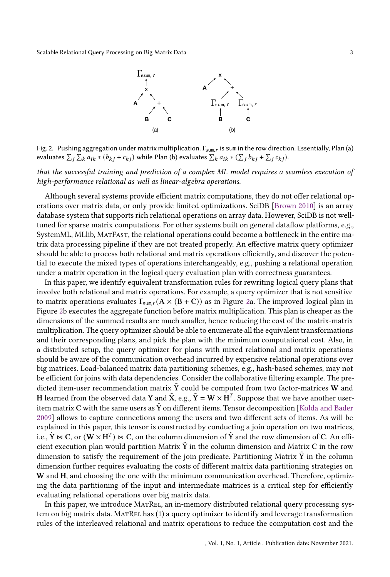

<span id="page-2-0"></span>Fig. 2. Pushing aggregation under matrix multiplication. Γ<sub>sum,r</sub> is sum in the row direction. Essentially, Plan (a) evaluates  $\sum_j \sum_k a_{ik} * (b_{kj} + c_{kj})$  while Plan (b) evaluates  $\sum_k a_{ik} * (\sum_j b_{kj} + \sum_j c_{kj})$ .

that the successful training and prediction of a complex ML model requires a seamless execution of high-performance relational as well as linear-algebra operations.

Although several systems provide efficient matrix computations, they do not offer relational operations over matrix data, or only provide limited optimizations. SciDB [\[Brown 2010\]](#page-25-5) is an array database system that supports rich relational operations on array data. However, SciDB is not welltuned for sparse matrix computations. For other systems built on general dataflow platforms, e.g., SystemML, MLlib, MatFast, the relational operations could become a bottleneck in the entire matrix data processing pipeline if they are not treated properly. An effective matrix query optimizer should be able to process both relational and matrix operations efficiently, and discover the potential to execute the mixed types of operations interchangeably, e.g., pushing a relational operation under a matrix operation in the logical query evaluation plan with correctness guarantees.

In this paper, we identify equivalent transformation rules for rewriting logical query plans that involve both relational and matrix operations. For example, a query optimizer that is not sensitive to matrix operations evaluates  $\Gamma_{\text{sum,r}}(A \times (B + C))$  as in Figure [2a](#page-2-0). The improved logical plan in Figure [2b](#page-2-0) executes the aggregate function before matrix multiplication. This plan is cheaper as the dimensions of the summed results are much smaller, hence reducing the cost of the matrix-matrix multiplication. The query optimizer should be able to enumerate all the equivalent transformations and their corresponding plans, and pick the plan with the minimum computational cost. Also, in a distributed setup, the query optimizer for plans with mixed relational and matrix operations should be aware of the communication overhead incurred by expensive relational operations over big matrices. Load-balanced matrix data partitioning schemes, e.g., hash-based schemes, may not be efficient for joins with data dependencies. Consider the collaborative filtering example. The predicted item-user recommendation matrix  $\tilde{Y}$  could be computed from two factor-matrices W and H learned from the observed data Y and  $\tilde{\bf X}$ , e.g.,  $\tilde{\bf Y} = {\bf W} \times {\bf H}^T$ . Suppose that we have another useritem matrix C with the same users as  $\tilde{Y}$  on different items. Tensor decomposition [\[Kolda and Bader](#page-26-4) [2009\]](#page-26-4) allows to capture connections among the users and two different sets of items. As will be explained in this paper, this tensor is constructed by conducting a join operation on two matrices, i.e.,  $\tilde{Y}\Join C,$  or  $(W\times H^T)\Join C,$  on the column dimension of  $\tilde{Y}$  and the row dimension of  $C.$  An efficient execution plan would partition Matrix  $\tilde{Y}$  in the column dimension and Matrix C in the row dimension to satisfy the requirement of the join predicate. Partitioning Matrix  $\hat{Y}$  in the column dimension further requires evaluating the costs of different matrix data partitioning strategies on W and H, and choosing the one with the minimum communication overhead. Therefore, optimizing the data partitioning of the input and intermediate matrices is a critical step for efficiently evaluating relational operations over big matrix data.

In this paper, we introduce MatRel, an in-memory distributed relational query processing system on big matrix data. MatRel has (1) a query optimizer to identify and leverage transformation rules of the interleaved relational and matrix operations to reduce the computation cost and the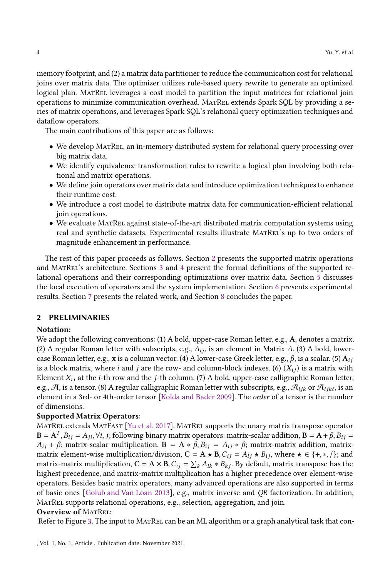memory footprint, and (2) a matrix data partitioner to reduce the communication cost for relational joins over matrix data. The optimizer utilizes rule-based query rewrite to generate an optimized logical plan. MATREL leverages a cost model to partition the input matrices for relational join operations to minimize communication overhead. MatRel extends Spark SQL by providing a series of matrix operations, and leverages Spark SQL's relational query optimization techniques and dataflow operators.

The main contributions of this paper are as follows:

- We develop MatRel, an in-memory distributed system for relational query processing over big matrix data.
- We identify equivalence transformation rules to rewrite a logical plan involving both relational and matrix operations.
- We define join operators over matrix data and introduce optimization techniques to enhance their runtime cost.
- We introduce a cost model to distribute matrix data for communication-efficient relational join operations.
- We evaluate MatRel against state-of-the-art distributed matrix computation systems using real and synthetic datasets. Experimental results illustrate MatRel's up to two orders of magnitude enhancement in performance.

The rest of this paper proceeds as follows. Section [2](#page-3-0) presents the supported matrix operations and MatRel's architecture. Sections [3](#page-4-0) and [4](#page-9-0) present the formal definitions of the supported relational operations and their corresponding optimizations over matrix data. Section [5](#page-15-0) discusses the local execution of operators and the system implementation. Section [6](#page-17-0) presents experimental results. Section [7](#page-23-0) presents the related work, and Section [8](#page-24-0) concludes the paper.

## <span id="page-3-0"></span>2 PRELIMINARIES

## Notation:

We adopt the following conventions: (1) A bold, upper-case Roman letter, e.g., A, denotes a matrix. (2) A regular Roman letter with subscripts, e.g.,  $A_{ij}$ , is an element in Matrix A. (3) A bold, lowercase Roman letter, e.g., x is a column vector. (4) A lower-case Greek letter, e.g.,  $\beta$ , is a scalar. (5)  $A_{ij}$ is a block matrix, where *i* and *j* are the row- and column-block indexes. (6)  $(X_{ij})$  is a matrix with Element  $X_{ij}$  at the *i*-th row and the *j*-th column. (7) A bold, upper-case calligraphic Roman letter, e.g.,  $\mathcal{A}$ , is a tensor. (8) A regular calligraphic Roman letter with subscripts, e.g.,  $\mathcal{A}_{ijk}$  or  $\mathcal{A}_{ijk\ell}$ , is an element in a 3rd- or 4th-order tensor [\[Kolda and Bader 2009\]](#page-26-4). The order of a tensor is the number of dimensions.

## Supported Matrix Operators:

MatRel extends MatFast [\[Yu et al. 2017\]](#page-27-2). MatRel supports the unary matrix transpose operator  $\mathbf{B} = \mathbf{A}^T, B_{ij} = A_{ji}, \forall i, j$ ; following binary matrix operators: matrix-scalar addition,  $\mathbf{B} = \mathbf{A} + \beta, B_{ij} = \beta$  $A_{ij}$  +  $\beta$ ; matrix-scalar multiplication,  $\mathbf{B} = \mathbf{A} * \beta$ ,  $B_{ij} = A_{ij} * \beta$ ; matrix-matrix addition, matrixmatrix element-wise multiplication/division,  $C = A \star B$ ,  $C_{ij} = A_{ij} \star B_{ij}$ , where  $\star \in \{+, *, /\}$ ; and matrix-matrix multiplication,  $C = A \times B$ ,  $C_{ij} = \sum_k A_{ik} * B_{kj}$ . By default, matrix transpose has the highest precedence, and matrix-matrix multiplication has a higher precedence over element-wise operators. Besides basic matrix operators, many advanced operations are also supported in terms of basic ones [\[Golub and Van Loan 2013\]](#page-26-5), e.g., matrix inverse and QR factorization. In addition, MATREL supports relational operations, e.g., selection, aggregation, and join.

# Overview of MATREL:

Refer to Figure [3.](#page-4-1) The input to MATREL can be an ML algorithm or a graph analytical task that con-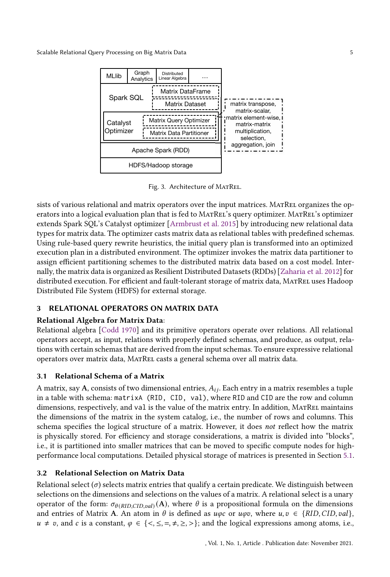<span id="page-4-1"></span>Scalable Relational Query Processing on Big Matrix Data 5 5 1 200 1 200 1 200 1 200 1 200 1 200 1 200 1 200 1 200 1 200 1 200 1 200 1 200 1 200 1 200 1 200 1 200 1 200 1 200 1 200 1 200 1 200 1 200 1 200 1 200 1 200 1 200



Fig. 3. Architecture of MATREL.

sists of various relational and matrix operators over the input matrices. MATREL organizes the operators into a logical evaluation plan that is fed to MATREL's query optimizer. MATREL's optimizer extends Spark SQL's Catalyst optimizer [\[Armbrust et al. 2015](#page-25-6)] by introducing new relational data types for matrix data. The optimizer casts matrix data as relational tables with predefined schemas. Using rule-based query rewrite heuristics, the initial query plan is transformed into an optimized execution plan in a distributed environment. The optimizer invokes the matrix data partitioner to assign efficient partitioning schemes to the distributed matrix data based on a cost model. Internally, the matrix data is organized as Resilient Distributed Datasets (RDDs) [\[Zaharia et al. 2012](#page-27-0)] for distributed execution. For efficient and fault-tolerant storage of matrix data, MATREL uses Hadoop Distributed File System (HDFS) for external storage.

# <span id="page-4-0"></span>3 RELATIONAL OPERATORS ON MATRIX DATA

# Relational Algebra for Matrix Data:

Relational algebra [\[Codd 1970\]](#page-25-7) and its primitive operators operate over relations. All relational operators accept, as input, relations with properly defined schemas, and produce, as output, relations with certain schemas that are derived from the input schemas. To ensure expressive relational operators over matrix data, MatRel casts a general schema over all matrix data.

# <span id="page-4-2"></span>3.1 Relational Schema of a Matrix

A matrix, say A, consists of two dimensional entries,  $A_{ij}$ . Each entry in a matrix resembles a tuple in a table with schema: matrixA (RID, CID, val), where RID and CID are the row and column dimensions, respectively, and val is the value of the matrix entry. In addition, MATREL maintains the dimensions of the matrix in the system catalog, i.e., the number of rows and columns. This schema specifies the logical structure of a matrix. However, it does not reflect how the matrix is physically stored. For efficiency and storage considerations, a matrix is divided into "blocks", i.e., it is partitioned into smaller matrices that can be moved to specific compute nodes for highperformance local computations. Detailed physical storage of matrices is presented in Section [5.1.](#page-15-1)

# 3.2 Relational Selection on Matrix Data

Relational select  $(\sigma)$  selects matrix entries that qualify a certain predicate. We distinguish between selections on the dimensions and selections on the values of a matrix. A relational select is a unary operator of the form:  $\sigma_{\theta(RID,CID, val)}(A)$ , where  $\theta$  is a propositional formula on the dimensions and entries of Matrix A. An atom in  $\theta$  is defined as  $u\varphi c$  or  $u\varphi v$ , where  $u, v \in \{RID, CID, val\}$ ,  $u \neq v$ , and c is a constant,  $\varphi \in \{ \langle \xi, \xi, =, \neq, \xi \rangle \}$ ; and the logical expressions among atoms, i.e.,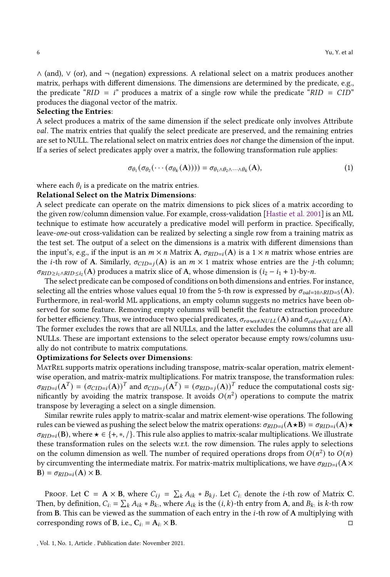∧ (and), ∨ (or), and ¬ (negation) expressions. A relational select on a matrix produces another matrix, perhaps with different dimensions. The dimensions are determined by the predicate, e.g., the predicate " $RID = i$ " produces a matrix of a single row while the predicate " $RID = CID$ " produces the diagonal vector of the matrix.

#### Selecting the Entries:

A select produces a matrix of the same dimension if the select predicate only involves Attribute val. The matrix entries that qualify the select predicate are preserved, and the remaining entries are set to NULL. The relational select on matrix entries does not change the dimension of the input. If a series of select predicates apply over a matrix, the following transformation rule applies:

$$
\sigma_{\theta_1}(\sigma_{\theta_2}(\cdots(\sigma_{\theta_k}(A)))) = \sigma_{\theta_1 \wedge \theta_2 \wedge \cdots \wedge \theta_k}(A), \qquad (1)
$$

where each  $\theta_i$  is a predicate on the matrix entries.

#### Relational Select on the Matrix Dimensions:

A select predicate can operate on the matrix dimensions to pick slices of a matrix according to the given row/column dimension value. For example, cross-validation [\[Hastie et al. 2001\]](#page-26-3) is an ML technique to estimate how accurately a predicative model will perform in practice. Specifically, leave-one-out cross-validation can be realized by selecting a single row from a training matrix as the test set. The output of a select on the dimensions is a matrix with different dimensions than the input's, e.g., if the input is an  $m \times n$  Matrix A,  $\sigma_{RID=i}(A)$  is a  $1 \times n$  matrix whose entries are the *i*-th row of A. Similarly,  $\sigma_{CID=1}(A)$  is an  $m \times 1$  matrix whose entries are the *j*-th column;  $\sigma_{RID \geq i_1 \landRID \leq i_2}(A)$  produces a matrix slice of A, whose dimension is  $(i_2 - i_1 + 1)$ -by-n.

The select predicate can be composed of conditions on both dimensions and entries. For instance, selecting all the entries whose values equal 10 from the 5-th row is expressed by  $\sigma_{val=10 \wedge RID=5}(A)$ . Furthermore, in real-world ML applications, an empty column suggests no metrics have been observed for some feature. Removing empty columns will benefit the feature extraction procedure for better efficiency. Thus, we introduce two special predicates,  $\sigma_{rows\neq NULL}(A)$  and  $\sigma_{cols\neq NULL}(A)$ . The former excludes the rows that are all NULLs, and the latter excludes the columns that are all NULLs. These are important extensions to the select operator because empty rows/columns usually do not contribute to matrix computations.

#### Optimizations for Selects over Dimensions:

MatRel supports matrix operations including transpose, matrix-scalar operation, matrix elementwise operation, and matrix-matrix multiplications. For matrix transpose, the transformation rules:  $\sigma_{RID=i}(A^T) = (\sigma_{CID=i}(A))^T$  and  $\sigma_{CID=j}(A^T) = (\sigma_{RID=j}(A))^T$  reduce the computational costs significantly by avoiding the matrix transpose. It avoids  $O(n^2)$  operations to compute the matrix transpose by leveraging a select on a single dimension.

Similar rewrite rules apply to matrix-scalar and matrix element-wise operations. The following rules can be viewed as pushing the select below the matrix operations:  $\sigma_{RID=i}(\mathbf{A} \star \mathbf{B}) = \sigma_{RID=i}(\mathbf{A}) \star$  $\sigma_{RID=i}(\mathbf{B})$ , where  $\star \in \{+, *, /\}$ . This rule also applies to matrix-scalar multiplications. We illustrate these transformation rules on the selects w.r.t. the row dimension. The rules apply to selections on the column dimension as well. The number of required operations drops from  $O(n^2)$  to  $O(n)$ by circumventing the intermediate matrix. For matrix-matrix multiplications, we have  $\sigma_{RID=i}(\mathbf{A}\times\mathbf{A})$  $B) = \sigma_{RID=i}(A) \times B.$ 

PROOF. Let  $C = A \times B$ , where  $C_{ij} = \sum_k A_{ik} * B_{kj}$ . Let  $C_i$  denote the *i*-th row of Matrix C. Then, by definition,  $C_{i} = \sum_{k} A_{ik} * B_{k}$ , where  $A_{ik}$  is the  $(i, k)$ -th entry from A, and  $B_{k}$ : is k-th row from B. This can be viewed as the summation of each entry in the  $i$ -th row of A multiplying with corresponding rows of **B**, i.e.,  $C_i$ : =  $A_i$ :  $\times$  **B**.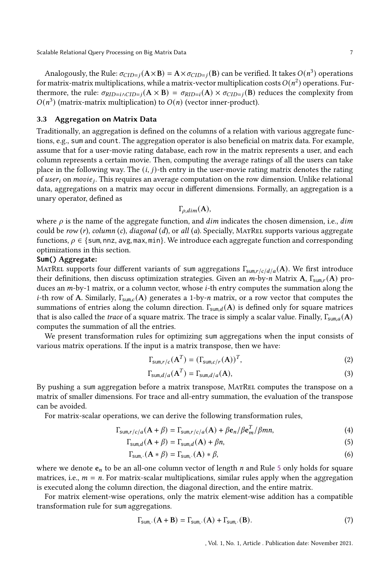Scalable Relational Query Processing on Big Matrix Data 7 (2008) 2014 12:38:38 1999 2014 12:38:38

Analogously, the Rule:  $\sigma_{CID=j}(A \times B) = A \times \sigma_{CID=j}(B)$  can be verified. It takes  $O(n^3)$  operations for matrix-matrix multiplications, while a matrix-vector multiplication costs  $O(n^2)$  operations. Furthermore, the rule:  $\sigma_{RID=i}(A \times B) = \sigma_{RID=i}(A) \times \sigma_{CID=i}(B)$  reduces the complexity from  $O(n^3)$  (matrix-matrix multiplication) to  $O(n)$  (vector inner-product).

# 3.3 Aggregation on Matrix Data

Traditionally, an aggregation is defined on the columns of a relation with various aggregate functions, e.g., sum and count. The aggregation operator is also beneficial on matrix data. For example, assume that for a user-movie rating database, each row in the matrix represents a user, and each column represents a certain movie. Then, computing the average ratings of all the users can take place in the following way. The  $(i, j)$ -th entry in the user-movie rating matrix denotes the rating of  $user_i$  on  $move_j$ . This requires an average computation on the row dimension. Unlike relational data, aggregations on a matrix may occur in different dimensions. Formally, an aggregation is a unary operator, defined as

$$
\Gamma_{\rho, dim}(\mathbf{A}),
$$

where  $\rho$  is the name of the aggregate function, and  $dim$  indicates the chosen dimension, i.e.,  $dim$ could be row  $(r)$ , column  $(c)$ , diagonal  $(d)$ , or all  $(a)$ . Specially, MATREL supports various aggregate functions,  $\rho \in \{\text{sum}, \text{nnz}, \text{avg}, \text{max}, \text{min}\}.$  We introduce each aggregate function and corresponding optimizations in this section.

#### **Sum()** Aggregate:

MATREL supports four different variants of sum aggregations  $\Gamma_{\text{sum},r/c/d/a}(A)$ . We first introduce their definitions, then discuss optimization strategies. Given an  $m$ -by- $n$  Matrix A,  $\Gamma_{\text{sum},r}(\mathbf{A})$  produces an  $m$ -by-1 matrix, or a column vector, whose  $i$ -th entry computes the summation along the *i*-th row of A. Similarly,  $\Gamma_{\text{sum},c}$  (A) generates a 1-by-*n* matrix, or a row vector that computes the summations of entries along the column direction.  $\Gamma_{\text{sum}} d(\mathbf{A})$  is defined only for square matrices that is also called the trace of a square matrix. The trace is simply a scalar value. Finally,  $\Gamma_{\text{sum},a}(\mathbf{A})$ computes the summation of all the entries.

We present transformation rules for optimizing sum aggregations when the input consists of various matrix operations. If the input is a matrix transpose, then we have:

$$
\Gamma_{\text{sum},r/c}(\mathbf{A}^T) = (\Gamma_{\text{sum},c/r}(\mathbf{A}))^T,\tag{2}
$$

<span id="page-6-0"></span>
$$
\Gamma_{\text{sum},d/a}(\mathbf{A}^T) = \Gamma_{\text{sum},d/a}(\mathbf{A}),\tag{3}
$$

By pushing a sum aggregation before a matrix transpose, MatRel computes the transpose on a matrix of smaller dimensions. For trace and all-entry summation, the evaluation of the transpose can be avoided.

For matrix-scalar operations, we can derive the following transformation rules,

$$
\Gamma_{\text{sum},r/c/a}(A+\beta) = \Gamma_{\text{sum},r/c/a}(A) + \beta e_n / \beta e_m^T / \beta mn,\tag{4}
$$

$$
\Gamma_{\text{sum},d}(\mathbf{A} + \beta) = \Gamma_{\text{sum},d}(\mathbf{A}) + \beta n,\tag{5}
$$

$$
\Gamma_{\text{sum},\cdot}(\mathbf{A}*\beta) = \Gamma_{\text{sum},\cdot}(\mathbf{A})*\beta,\tag{6}
$$

where we denote  $e_n$  to be an all-one column vector of length  $n$  and Rule [5](#page-6-0) only holds for square matrices, i.e.,  $m = n$ . For matrix-scalar multiplications, similar rules apply when the aggregation is executed along the column direction, the diagonal direction, and the entire matrix.

For matrix element-wise operations, only the matrix element-wise addition has a compatible transformation rule for sum aggregations.

<span id="page-6-1"></span>
$$
\Gamma_{\text{sum.}}(\mathbf{A} + \mathbf{B}) = \Gamma_{\text{sum.}}(\mathbf{A}) + \Gamma_{\text{sum.}}(\mathbf{B}).
$$
\n(7)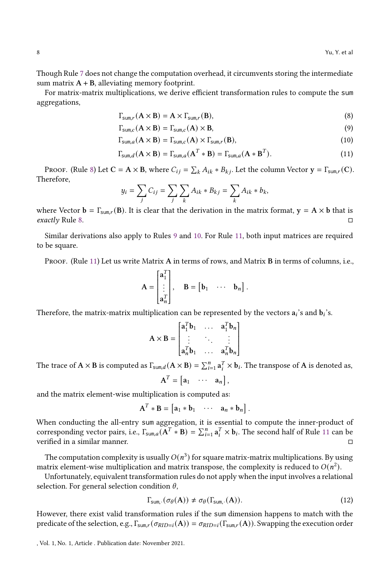Though Rule [7](#page-6-1) does not change the computation overhead, it circumvents storing the intermediate sum matrix  $A + B$ , alleviating memory footprint.

For matrix-matrix multiplications, we derive efficient transformation rules to compute the sum aggregations,

<span id="page-7-2"></span><span id="page-7-1"></span><span id="page-7-0"></span>
$$
\Gamma_{\text{sum},r}(\mathbf{A} \times \mathbf{B}) = \mathbf{A} \times \Gamma_{\text{sum},r}(\mathbf{B}),\tag{8}
$$

$$
\Gamma_{\text{sum},c}(\mathbf{A} \times \mathbf{B}) = \Gamma_{\text{sum},c}(\mathbf{A}) \times \mathbf{B},\tag{9}
$$

$$
\Gamma_{\text{sum},a}(\mathbf{A} \times \mathbf{B}) = \Gamma_{\text{sum},c}(\mathbf{A}) \times \Gamma_{\text{sum},r}(\mathbf{B}),\tag{10}
$$

$$
\Gamma_{\text{sum},d}(\mathbf{A} \times \mathbf{B}) = \Gamma_{\text{sum},a}(\mathbf{A}^T * \mathbf{B}) = \Gamma_{\text{sum},a}(\mathbf{A} * \mathbf{B}^T). \tag{11}
$$

PROOF. (Rule [8\)](#page-7-0) Let  $C = A \times B$ , where  $C_{ij} = \sum_k A_{ik} * B_{kj}$ . Let the column Vector  $y = \Gamma_{sum,r}(C)$ . Therefore,

<span id="page-7-3"></span>
$$
y_i = \sum_j C_{ij} = \sum_j \sum_k A_{ik} * B_{kj} = \sum_k A_{ik} * b_k,
$$

where Vector  $\mathbf{b} = \Gamma_{\text{sum},r}(\mathbf{B})$ . It is clear that the derivation in the matrix format,  $\mathbf{y} = \mathbf{A} \times \mathbf{b}$  that is exactly Rule [8.](#page-7-0)  $\Box$ 

Similar derivations also apply to Rules [9](#page-7-1) and [10.](#page-7-2) For Rule [11,](#page-7-3) both input matrices are required to be square.

PROOF. (Rule [11\)](#page-7-3) Let us write Matrix A in terms of rows, and Matrix B in terms of columns, i.e.,

$$
\mathbf{A} = \begin{bmatrix} \mathbf{a}_1^T \\ \vdots \\ \mathbf{a}_n^T \end{bmatrix}, \quad \mathbf{B} = \begin{bmatrix} \mathbf{b}_1 & \cdots & \mathbf{b}_n \end{bmatrix}.
$$

Therefore, the matrix-matrix multiplication can be represented by the vectors  $\mathbf{a}_i$ 's and  $\mathbf{b}_i$ 's.

$$
\mathbf{A} \times \mathbf{B} = \begin{bmatrix} \mathbf{a}_1^T \mathbf{b}_1 & \dots & \mathbf{a}_1^T \mathbf{b}_n \\ \vdots & \ddots & \vdots \\ \mathbf{a}_n^T \mathbf{b}_1 & \dots & \mathbf{a}_n^T \mathbf{b}_n \end{bmatrix}
$$

The trace of  $\mathbf{A} \times \mathbf{B}$  is computed as  $\Gamma_{\text{sum},d}(\mathbf{A} \times \mathbf{B}) = \sum_{i=1}^{n} \mathbf{a}_i^T \times \mathbf{b}_i$ . The transpose of  $\mathbf{A}$  is denoted as,

 $A^T = \begin{bmatrix} a_1 & \cdots & a_n \end{bmatrix},$ 

and the matrix element-wise multiplication is computed as:

$$
\mathbf{A}^T * \mathbf{B} = \begin{bmatrix} \mathbf{a}_1 * \mathbf{b}_1 & \cdots & \mathbf{a}_n * \mathbf{b}_n \end{bmatrix}.
$$

When conducting the all-entry sum aggregation, it is essential to compute the inner-product of corresponding vector pairs, i.e.,  $\Gamma_{\text{sum},a}(\mathbf{A}^T * \mathbf{B}) = \sum_{i=1}^n \mathbf{a}_i^T \times \mathbf{b}_i$ . The second half of Rule [11](#page-7-3) can be verified in a similar manner.

The computation complexity is usually  $O(n^3)$  for square matrix-matrix multiplications. By using matrix element-wise multiplication and matrix transpose, the complexity is reduced to  $O(n^2)$ .

Unfortunately, equivalent transformation rules do not apply when the input involves a relational selection. For general selection condition  $\theta$ ,

<span id="page-7-4"></span>
$$
\Gamma_{\text{sum},\cdot}(\sigma_{\theta}(\mathbf{A})) \neq \sigma_{\theta}(\Gamma_{\text{sum},\cdot}(\mathbf{A})). \tag{12}
$$

However, there exist valid transformation rules if the sum dimension happens to match with the predicate of the selection, e.g.,  $\Gamma_{sum,r}(\sigma_{RID=i}(A)) = \sigma_{RID=i}(\Gamma_{sum,r}(A))$ . Swapping the execution order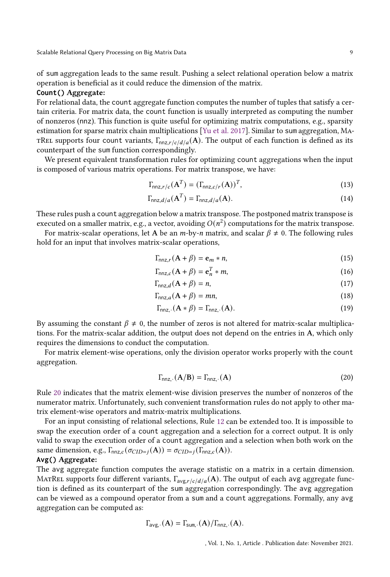of sum aggregation leads to the same result. Pushing a select relational operation below a matrix operation is beneficial as it could reduce the dimension of the matrix.

#### **Count()** Aggregate:

For relational data, the count aggregate function computes the number of tuples that satisfy a certain criteria. For matrix data, the count function is usually interpreted as computing the number of nonzeros (nnz). This function is quite useful for optimizing matrix computations, e.g., sparsity estimation for sparse matrix chain multiplications [\[Yu et al. 2017\]](#page-27-2). Similar to sum aggregation, Ma-TREL supports four count variants,  $\Gamma_{\text{nnz,r/c}/d/a}(\mathbf{A})$ . The output of each function is defined as its counterpart of the sum function correspondingly.

We present equivalent transformation rules for optimizing count aggregations when the input is composed of various matrix operations. For matrix transpose, we have:

$$
\Gamma_{\text{nnz},r/c}(\mathbf{A}^T) = (\Gamma_{\text{nnz},c/r}(\mathbf{A}))^T,\tag{13}
$$

$$
\Gamma_{\text{nnz},d/a}(\mathbf{A}^T) = \Gamma_{\text{nnz},d/a}(\mathbf{A}).\tag{14}
$$

These rules push a count aggregation below a matrix transpose. The postponed matrix transpose is executed on a smaller matrix, e.g., a vector, avoiding  $O(n^2)$  computations for the matrix transpose.

For matrix-scalar operations, let A be an  $m$ -by-n matrix, and scalar  $\beta \neq 0$ . The following rules hold for an input that involves matrix-scalar operations,

$$
\Gamma_{nnz,r}(\mathbf{A} + \beta) = \mathbf{e}_m * n,\tag{15}
$$

$$
\Gamma_{\text{nnz},c}(\mathbf{A} + \beta) = \mathbf{e}_n^T * m,\tag{16}
$$

$$
\Gamma_{nnz,d}(\mathbf{A} + \beta) = n,\tag{17}
$$

$$
\Gamma_{\text{nnz},a}(\mathbf{A} + \beta) = mn,\tag{18}
$$

$$
\Gamma_{\text{nnz}}.\left(\mathbf{A} * \boldsymbol{\beta}\right) = \Gamma_{\text{nnz}}.\left(\mathbf{A}\right). \tag{19}
$$

By assuming the constant  $\beta \neq 0$ , the number of zeros is not altered for matrix-scalar multiplications. For the matrix-scalar addition, the output does not depend on the entries in A, which only requires the dimensions to conduct the computation.

For matrix element-wise operations, only the division operator works properly with the count aggregation.

<span id="page-8-0"></span>
$$
\Gamma_{nnz} \cdot (\mathbf{A/B}) = \Gamma_{nnz} \cdot (\mathbf{A}) \tag{20}
$$

Rule [20](#page-8-0) indicates that the matrix element-wise division preserves the number of nonzeros of the numerator matrix. Unfortunately, such convenient transformation rules do not apply to other matrix element-wise operators and matrix-matrix multiplications.

For an input consisting of relational selections, Rule [12](#page-7-4) can be extended too. It is impossible to swap the execution order of a count aggregation and a selection for a correct output. It is only valid to swap the execution order of a count aggregation and a selection when both work on the same dimension, e.g.,  $\Gamma_{nnz,c}(\sigma_{CID=j}(A)) = \sigma_{CID=j}(\Gamma_{nnz,c}(A)).$ 

#### **Avg()** Aggregate:

The avg aggregate function computes the average statistic on a matrix in a certain dimension. MATREL supports four different variants,  $\Gamma_{\text{avg,r/c}/d/a}(\mathbf{A})$ . The output of each avg aggregate function is defined as its counterpart of the sum aggregation correspondingly. The avg aggregation can be viewed as a compound operator from a sum and a count aggregations. Formally, any avg aggregation can be computed as:

$$
\Gamma_{\text{avg},\cdot}(\mathbf{A}) = \Gamma_{\text{sum},\cdot}(\mathbf{A}) / \Gamma_{\text{nnz},\cdot}(\mathbf{A}).
$$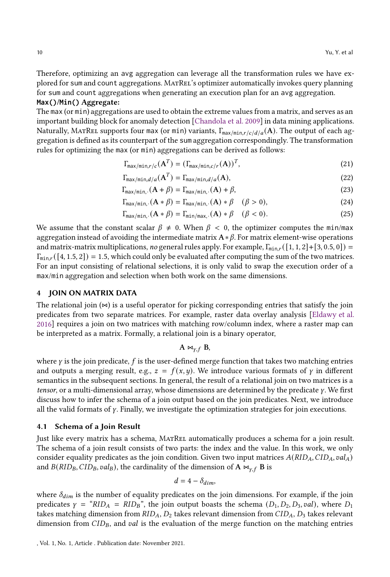Therefore, optimizing an avg aggregation can leverage all the transformation rules we have explored for sum and count aggregations. MatRel's optimizer automatically invokes query planning for sum and count aggregations when generating an execution plan for an avg aggregation.

## **Max()**/**Min()** Aggregate:

The max (or min) aggregations are used to obtain the extreme values from a matrix, and serves as an important building block for anomaly detection [\[Chandola et al. 2009](#page-25-8)] in data mining applications. Naturally, MatRel supports four max (or min) variants,  $\Gamma_{\text{max/min}, r/c/d/a}(A)$ . The output of each aggregation is defined as its counterpart of the sum aggregation correspondingly. The transformation rules for optimizing the max (or min) aggregations can be derived as follows:

$$
\Gamma_{\max/\min,r/c}(\mathbf{A}^T) = (\Gamma_{\max/\min,c/r}(\mathbf{A}))^T,
$$
\n(21)

$$
\Gamma_{\max/\min,d/a}(\mathbf{A}^T) = \Gamma_{\max/\min,d/a}(\mathbf{A}),\tag{22}
$$

$$
\Gamma_{\max/\min}(\mathbf{A} + \beta) = \Gamma_{\max/\min}(\mathbf{A}) + \beta,\tag{23}
$$

$$
\Gamma_{\max/\min}(\mathbf{A} * \beta) = \Gamma_{\max/\min}(\mathbf{A}) * \beta \quad (\beta > 0),
$$
\n(24)

$$
\Gamma_{\max/\min} (A * \beta) = \Gamma_{\min/\max} (A) * \beta \quad (\beta < 0).
$$
 (25)

We assume that the constant scalar  $\beta \neq 0$ . When  $\beta < 0$ , the optimizer computes the min/max aggregation instead of avoiding the intermediate matrix  $A * \beta$ . For matrix element-wise operations and matrix-matrix multiplications, no general rules apply. For example,  $\Gamma_{\min,r}([1, 1, 2] + [3, 0.5, 0]) =$  $\Gamma_{\min,r}([4, 1.5, 2]) = 1.5$ , which could only be evaluated after computing the sum of the two matrices. For an input consisting of relational selections, it is only valid to swap the execution order of a max/min aggregation and selection when both work on the same dimensions.

## <span id="page-9-0"></span>4 JOIN ON MATRIX DATA

The relational join  $(\infty)$  is a useful operator for picking corresponding entries that satisfy the join predicates from two separate matrices. For example, raster data overlay analysis [\[Eldawy et al.](#page-26-6) [2016\]](#page-26-6) requires a join on two matrices with matching row/column index, where a raster map can be interpreted as a matrix. Formally, a relational join is a binary operator,

$$
A \bowtie_{\gamma, f} B,
$$

where  $\gamma$  is the join predicate, f is the user-defined merge function that takes two matching entries and outputs a merging result, e.g.,  $z = f(x, y)$ . We introduce various formats of  $\gamma$  in different semantics in the subsequent sections. In general, the result of a relational join on two matrices is a tensor, or a multi-dimensional array, whose dimensions are determined by the predicate  $\gamma$ . We first discuss how to infer the schema of a join output based on the join predicates. Next, we introduce all the valid formats of  $\gamma$ . Finally, we investigate the optimization strategies for join executions.

#### 4.1 Schema of a Join Result

Just like every matrix has a schema, MatRel automatically produces a schema for a join result. The schema of a join result consists of two parts: the index and the value. In this work, we only consider equality predicates as the join condition. Given two input matrices  $A(RID_A, CID_A, val_A)$ and  $B(RID_B, CID_B, val_B)$ , the cardinality of the dimension of A  $\bowtie_{\gamma, f}$  B is

$$
d=4-\delta_{\dim},
$$

where  $\delta_{dim}$  is the number of equality predicates on the join dimensions. For example, if the join predicates  $\gamma =$  " $RID_A = RID_B$ ", the join output boasts the schema ( $D_1, D_2, D_3, val$ ), where  $D_1$ takes matching dimension from  $RID_A$ ,  $D_2$  takes relevant dimension from  $CID_A$ ,  $D_3$  takes relevant dimension from  $CID_B$ , and  $val$  is the evaluation of the merge function on the matching entries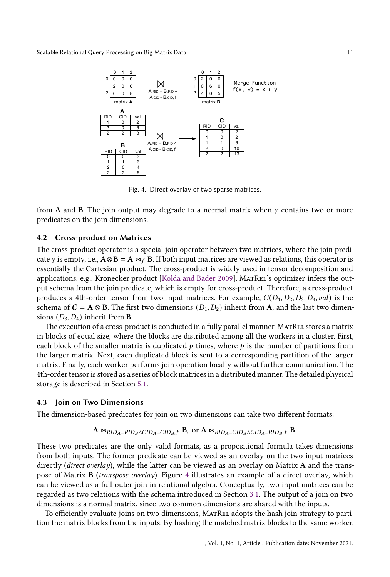<span id="page-10-0"></span>

Fig. 4. Direct overlay of two sparse matrices.

from A and B. The join output may degrade to a normal matrix when  $\gamma$  contains two or more predicates on the join dimensions.

#### 4.2 Cross-product on Matrices

The cross-product operator is a special join operator between two matrices, where the join predicate  $\gamma$  is empty, i.e.,  $A \otimes B = A \Join_f B$ . If both input matrices are viewed as relations, this operator is essentially the Cartesian product. The cross-product is widely used in tensor decomposition and applications, e.g., Kronecker product [\[Kolda and Bader 2009](#page-26-4)]. MatRel's optimizer infers the output schema from the join predicate, which is empty for cross-product. Therefore, a cross-product produces a 4th-order tensor from two input matrices. For example,  $C(D_1, D_2, D_3, D_4, val)$  is the schema of  $C = A \otimes B$ . The first two dimensions  $(D_1, D_2)$  inherit from A, and the last two dimensions  $(D_3, D_4)$  inherit from **B**.

The execution of a cross-product is conducted in a fully parallel manner. MATREL stores a matrix in blocks of equal size, where the blocks are distributed among all the workers in a cluster. First, each block of the smaller matrix is duplicated  $p$  times, where  $p$  is the number of partitions from the larger matrix. Next, each duplicated block is sent to a corresponding partition of the larger matrix. Finally, each worker performs join operation locally without further communication. The 4th-order tensor is stored as a series of block matrices in a distributed manner. The detailed physical storage is described in Section [5.1.](#page-15-1)

#### 4.3 Join on Two Dimensions

The dimension-based predicates for join on two dimensions can take two different formats:

$$
A \bowtie_{RID_A=RID_B \wedge CID_A=CID_B, f} B, \text{ or } A \bowtie_{RID_A=CID_B \wedge CID_A=RID_B, f} B.
$$

These two predicates are the only valid formats, as a propositional formula takes dimensions from both inputs. The former predicate can be viewed as an overlay on the two input matrices directly (*direct overlay*), while the latter can be viewed as an overlay on Matrix A and the transpose of Matrix B (transpose overlay). Figure [4](#page-10-0) illustrates an example of a direct overlay, which can be viewed as a full-outer join in relational algebra. Conceptually, two input matrices can be regarded as two relations with the schema introduced in Section [3.1.](#page-4-2) The output of a join on two dimensions is a normal matrix, since two common dimensions are shared with the inputs.

To efficiently evaluate joins on two dimensions, MatRel adopts the hash join strategy to partition the matrix blocks from the inputs. By hashing the matched matrix blocks to the same worker,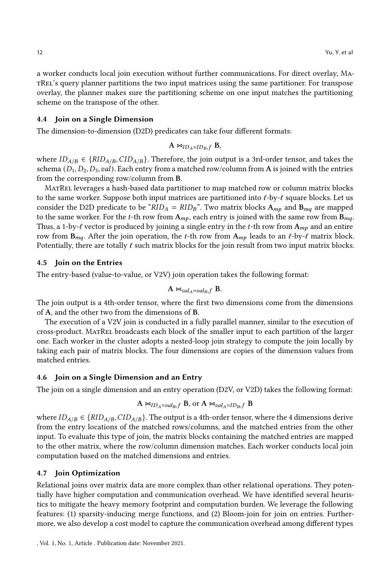a worker conducts local join execution without further communications. For direct overlay, MatRel's query planner partitions the two input matrices using the same partitioner. For transpose overlay, the planner makes sure the partitioning scheme on one input matches the partitioning scheme on the transpose of the other.

## 4.4 Join on a Single Dimension

The dimension-to-dimension (D2D) predicates can take four different formats:

 $A \Join_{ID_A=ID_B, f} B$ ,

where  $ID_{A/B} \in \{RID_{A/B},CID_{A/B}\}$ . Therefore, the join output is a 3rd-order tensor, and takes the schema  $(D_1, D_2, D_3, val)$ . Each entry from a matched row/column from A is joined with the entries from the corresponding row/column from B.

MatRel leverages a hash-based data partitioner to map matched row or column matrix blocks to the same worker. Suppose both input matrices are partitioned into  $\ell$ -by- $\ell$  square blocks. Let us consider the D2D predicate to be " $RID_A = RID_B$ ". Two matrix blocks  $A_{mp}$  and  $B_{mq}$  are mapped to the same worker. For the *t*-th row from  $A_{mp}$ , each entry is joined with the same row from  $B_{mq}$ . Thus, a 1-by- $\ell$  vector is produced by joining a single entry in the t-th row from  $A_{mp}$  and an entire row from  $B_{mq}$ . After the join operation, the *t*-th row from  $A_{mp}$  leads to an  $\ell$ -by- $\ell$  matrix block. Potentially, there are totally  $\ell$  such matrix blocks for the join result from two input matrix blocks.

#### 4.5 Join on the Entries

The entry-based (value-to-value, or V2V) join operation takes the following format:

$$
A \bowtie_{\mathit{val}_A=\mathit{val}_B,f} B.
$$

The join output is a 4th-order tensor, where the first two dimensions come from the dimensions of A, and the other two from the dimensions of B.

The execution of a V2V join is conducted in a fully parallel manner, similar to the execution of cross-product. MatRel broadcasts each block of the smaller input to each partition of the larger one. Each worker in the cluster adopts a nested-loop join strategy to compute the join locally by taking each pair of matrix blocks. The four dimensions are copies of the dimension values from matched entries.

## 4.6 Join on a Single Dimension and an Entry

The join on a single dimension and an entry operation (D2V, or V2D) takes the following format:

$$
A \bowtie_{ID_A = val_B, f} B, \text{ or } A \bowtie_{val_A = ID_B, f} B
$$

where  $ID_{A/B} \in \{RID_{A/B},CID_{A/B}\}$ . The output is a 4th-order tensor, where the 4 dimensions derive from the entry locations of the matched rows/columns, and the matched entries from the other input. To evaluate this type of join, the matrix blocks containing the matched entries are mapped to the other matrix, where the row/column dimension matches. Each worker conducts local join computation based on the matched dimensions and entries.

#### 4.7 Join Optimization

Relational joins over matrix data are more complex than other relational operations. They potentially have higher computation and communication overhead. We have identified several heuristics to mitigate the heavy memory footprint and computation burden. We leverage the following features: (1) sparsity-inducing merge functions, and (2) Bloom-join for join on entries. Furthermore, we also develop a cost model to capture the communication overhead among different types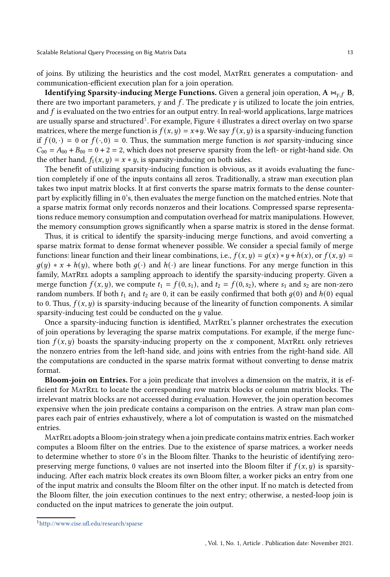of joins. By utilizing the heuristics and the cost model, MatRel generates a computation- and communication-efficient execution plan for a join operation.

**Identifying Sparsity-inducing Merge Functions.** Given a general join operation,  $A \Join_{\gamma,f} B$ , there are two important parameters,  $\gamma$  and  $f$ . The predicate  $\gamma$  is utilized to locate the join entries, and  $f$  is evaluated on the two entries for an output entry. In real-world applications, large matrices are usually sparse and structured $^1$  $^1$ . For example, Figure [4](#page-10-0) illustrates a direct overlay on two sparse matrices, where the merge function is  $f(x, y) = x+y$ . We say  $f(x, y)$  is a sparsity-inducing function if  $f(0, \cdot) = 0$  or  $f(\cdot, 0) = 0$ . Thus, the summation merge function is not sparsity-inducing since  $C_{00} = A_{00} + B_{00} = 0 + 2 = 2$ , which does not preserve sparsity from the left- or right-hand side. On the other hand,  $f_1(x, y) = x * y$ , is sparsity-inducing on both sides.

The benefit of utilizing sparsity-inducing function is obvious, as it avoids evaluating the function completely if one of the inputs contains all zeros. Traditionally, a straw man execution plan takes two input matrix blocks. It at first converts the sparse matrix formats to the dense counterpart by explicitly filling in 0's, then evaluates the merge function on the matched entries. Note that a sparse matrix format only records nonzeros and their locations. Compressed sparse representations reduce memory consumption and computation overhead for matrix manipulations. However, the memory consumption grows significantly when a sparse matrix is stored in the dense format.

Thus, it is critical to identify the sparsity-inducing merge functions, and avoid converting a sparse matrix format to dense format whenever possible. We consider a special family of merge functions: linear function and their linear combinations, i.e.,  $f(x, y) = g(x) * y + h(x)$ , or  $f(x, y) =$  $q(y) * x + h(y)$ , where both  $q(\cdot)$  and  $h(\cdot)$  are linear functions. For any merge function in this family, MatRel adopts a sampling approach to identify the sparsity-inducing property. Given a merge function  $f(x, y)$ , we compute  $t_1 = f(0, s_1)$ , and  $t_2 = f(0, s_2)$ , where  $s_1$  and  $s_2$  are non-zero random numbers. If both  $t_1$  and  $t_2$  are 0, it can be easily confirmed that both  $q(0)$  and  $h(0)$  equal to 0. Thus,  $f(x, y)$  is sparsity-inducing because of the linearity of function components. A similar sparsity-inducing test could be conducted on the  $y$  value.

Once a sparsity-inducing function is identified, MatRel's planner orchestrates the execution of join operations by leveraging the sparse matrix computations. For example, if the merge function  $f(x, y)$  boasts the sparsity-inducing property on the x component, MATREL only retrieves the nonzero entries from the left-hand side, and joins with entries from the right-hand side. All the computations are conducted in the sparse matrix format without converting to dense matrix format.

Bloom-join on Entries. For a join predicate that involves a dimension on the matrix, it is efficient for MatRel to locate the corresponding row matrix blocks or column matrix blocks. The irrelevant matrix blocks are not accessed during evaluation. However, the join operation becomes expensive when the join predicate contains a comparison on the entries. A straw man plan compares each pair of entries exhaustively, where a lot of computation is wasted on the mismatched entries.

MatRel adopts a Bloom-join strategy when a join predicate contains matrix entries. Each worker computes a Bloom filter on the entries. Due to the existence of sparse matrices, a worker needs to determine whether to store 0's in the Bloom filter. Thanks to the heuristic of identifying zeropreserving merge functions, 0 values are not inserted into the Bloom filter if  $f(x, y)$  is sparsityinducing. After each matrix block creates its own Bloom filter, a worker picks an entry from one of the input matrix and consults the Bloom filter on the other input. If no match is detected from the Bloom filter, the join execution continues to the next entry; otherwise, a nested-loop join is conducted on the input matrices to generate the join output.

<span id="page-12-0"></span><sup>1</sup><http://www.cise.ufl.edu/research/sparse>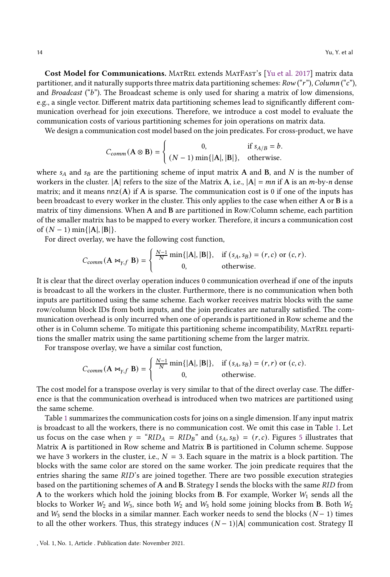Cost Model for Communications. MATREL extends MATFAST's [\[Yu et al. 2017\]](#page-27-2) matrix data partitioner, and it naturally supports three matrix data partitioning schemes:  $Row$  ("r"),  $Column$  ("c"), and *Broadcast* ( $b$ "). The Broadcast scheme is only used for sharing a matrix of low dimensions, e.g., a single vector. Different matrix data partitioning schemes lead to significantly different communication overhead for join executions. Therefore, we introduce a cost model to evaluate the communication costs of various partitioning schemes for join operations on matrix data.

We design a communication cost model based on the join predicates. For cross-product, we have

$$
C_{comm}(\mathbf{A} \otimes \mathbf{B}) = \begin{cases} 0, & \text{if } s_{A/B} = b. \\ (N-1) \min\{|\mathbf{A}|, |\mathbf{B}|\}, & \text{otherwise.} \end{cases}
$$

where  $s_A$  and  $s_B$  are the partitioning scheme of input matrix A and B, and N is the number of workers in the cluster.  $|A|$  refers to the size of the Matrix A, i.e.,  $|A| = mn$  if A is an *m*-by-*n* dense matrix; and it means  $nnz(A)$  if A is sparse. The communication cost is 0 if one of the inputs has been broadcast to every worker in the cluster. This only applies to the case when either A or B is a matrix of tiny dimensions. When A and B are partitioned in Row/Column scheme, each partition of the smaller matrix has to be mapped to every worker. Therefore, it incurs a communication cost of  $(N - 1)$  min{ $|A|, |B|$ .

For direct overlay, we have the following cost function,

$$
C_{comm}(\mathbf{A} \Join_{\gamma, f} \mathbf{B}) = \begin{cases} \frac{N-1}{N} \min\{|A|, |B|\}, & \text{if } (s_A, s_B) = (r, c) \text{ or } (c, r).\\ 0, & \text{otherwise.} \end{cases}
$$

It is clear that the direct overlay operation induces 0 communication overhead if one of the inputs is broadcast to all the workers in the cluster. Furthermore, there is no communication when both inputs are partitioned using the same scheme. Each worker receives matrix blocks with the same row/column block IDs from both inputs, and the join predicates are naturally satisfied. The communication overhead is only incurred when one of operands is partitioned in Row scheme and the other is in Column scheme. To mitigate this partitioning scheme incompatibility, MatRel repartitions the smaller matrix using the same partitioning scheme from the larger matrix.

For transpose overlay, we have a similar cost function,

$$
C_{comm}(\mathbf{A} \bowtie_{\gamma, f} \mathbf{B}) = \begin{cases} \frac{N-1}{N} \min\{|A|, |B|\}, & \text{if } (s_A, s_B) = (r, r) \text{ or } (c, c).\\ 0, & \text{otherwise.} \end{cases}
$$

The cost model for a transpose overlay is very similar to that of the direct overlay case. The difference is that the communication overhead is introduced when two matrices are partitioned using the same scheme.

Table [1](#page-14-0) summarizes the communication costs for joins on a single dimension. If any input matrix is broadcast to all the workers, there is no communication cost. We omit this case in Table [1.](#page-14-0) Let us focus on the case when  $\gamma =$  " $RID_A = RID_B$ " and ( $s_A, s_B$ ) = ( $r, c$ ). Figures [5](#page-14-1) illustrates that Matrix A is partitioned in Row scheme and Matrix B is partitioned in Column scheme. Suppose we have 3 workers in the cluster, i.e.,  $N = 3$ . Each square in the matrix is a block partition. The blocks with the same color are stored on the same worker. The join predicate requires that the entries sharing the same RID's are joined together. There are two possible execution strategies based on the partitioning schemes of A and B. Strategy I sends the blocks with the same RID from A to the workers which hold the joining blocks from B. For example, Worker  $W_1$  sends all the blocks to Worker  $W_2$  and  $W_3$ , since both  $W_2$  and  $W_3$  hold some joining blocks from B. Both  $W_2$ and  $W_3$  send the blocks in a similar manner. Each worker needs to send the blocks ( $N-1$ ) times to all the other workers. Thus, this strategy induces  $(N-1)|A|$  communication cost. Strategy II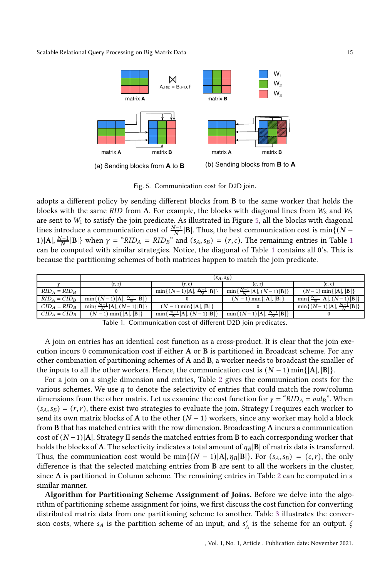<span id="page-14-1"></span>

Fig. 5. Communication cost for D2D join.

adopts a different policy by sending different blocks from B to the same worker that holds the blocks with the same RID from A. For example, the blocks with diagonal lines from  $W_2$  and  $W_3$ are sent to  $W_1$  to satisfy the join predicate. As illustrated in Figure [5,](#page-14-1) all the blocks with diagonal lines introduce a communication cost of  $\frac{N-1}{N}$ |B|. Thus, the best communication cost is min{( $N-$ [1](#page-14-0))|A|,  $\frac{N-1}{N}$ |B|} when  $\gamma =$  " $RID_A = RID_B$ " and  $(s_A, s_B) = (r, c)$ . The remaining entries in Table 1 can be computed with similar strategies. Notice, the diagonal of Table [1](#page-14-0) contains all 0's. This is because the partitioning schemes of both matrices happen to match the join predicate.

<span id="page-14-0"></span>

|                 | $(s_A, s_B)$                                           |                                                                     |                                                            |                                         |
|-----------------|--------------------------------------------------------|---------------------------------------------------------------------|------------------------------------------------------------|-----------------------------------------|
|                 | (r, r)                                                 | (r, c)                                                              | (c. r)                                                     | (c, c)                                  |
| $RID_A = RID_B$ |                                                        | $\min\{(N-1) {\bf A} ,\frac{N-1}{N}\ {\bf B} \}$                    | $\min\{\frac{N-1}{N}\, \mathbf{A} ,(N-1)\, \mathbf{B} \}\$ | $(N-1)$ min { $ A ,  B $ }              |
| $RID_A = CID_B$ | $\min\{(N-1) A , \frac{N-1}{N}  B \}$                  |                                                                     | $(N-1)$ min { $ A ,  B $ }                                 | $\min\{\frac{N-1}{N}\, A ,(N-1)\, B \}$ |
| $CID_A = RID_B$ | $\min\{\frac{N-1}{N}\vert A\vert, (N-1)\vert B\vert\}$ | $(N-1)$ min{ $ A ,  B $ }                                           |                                                            | $\min\{(N-1) A , \frac{N-1}{N} B \}$    |
| $CID_A =CID_B$  | $(N-1)$ min { $ A ,  B $ }                             | $\left\{ \frac{N-1}{N}  A , (N-1)  B  \right\}$<br>min <sub>1</sub> | $\min\{(N-1) A , \frac{N-1}{N}  B \}$                      |                                         |

Table 1. Communication cost of different D2D join predicates.

A join on entries has an identical cost function as a cross-product. It is clear that the join execution incurs 0 communication cost if either A or B is partitioned in Broadcast scheme. For any other combination of partitioning schemes of A and B, a worker needs to broadcast the smaller of the inputs to all the other workers. Hence, the communication cost is  $(N - 1)$  min{ $|A|, |B|$ }.

For a join on a single dimension and entries, Table [2](#page-15-2) gives the communication costs for the various schemes. We use  $\eta$  to denote the selectivity of entries that could match the row/column dimensions from the other matrix. Let us examine the cost function for  $\gamma = "RID_A = val_B"$ . When  $(s_A, s_B) = (r, r)$ , there exist two strategies to evaluate the join. Strategy I requires each worker to send its own matrix blocks of A to the other  $(N - 1)$  workers, since any worker may hold a block from B that has matched entries with the row dimension. Broadcasting A incurs a communication cost of  $(N-1)|A|$ . Strategy II sends the matched entries from B to each corresponding worker that holds the blocks of A. The selectivity indicates a total amount of  $\eta_B$ |B| of matrix data is transferred. Thus, the communication cost would be min $\{(N-1)|A|, \eta_B|B|\}$ . For  $(s_A, s_B) = (c, r)$ , the only difference is that the selected matching entries from B are sent to all the workers in the cluster, since A is partitioned in Column scheme. The remaining entries in Table [2](#page-15-2) can be computed in a similar manner.

Algorithm for Partitioning Scheme Assignment of Joins. Before we delve into the algorithm of partitioning scheme assignment for joins, we first discuss the cost function for converting distributed matrix data from one partitioning scheme to another. Table [3](#page-15-3) illustrates the conversion costs, where  $s_A$  is the partition scheme of an input, and  $s'_A$  is the scheme for an output.  $\xi$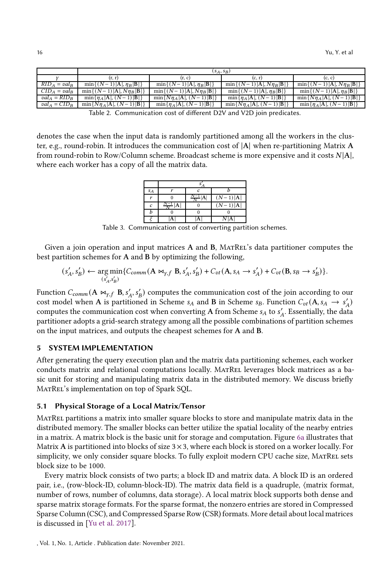<span id="page-15-2"></span>

|                 | $(s_A, s_B)$                        |                                                 |                                                 |                                      |
|-----------------|-------------------------------------|-------------------------------------------------|-------------------------------------------------|--------------------------------------|
|                 | (r. r)                              | (r, c)                                          | (c, r)                                          | (c, c)                               |
| $RID_A = val_B$ | $\min\{(N-1) A , \eta_B B \}$       | $\min\{(N-1) {\bf A} , \eta_{\bf B} {\bf B} \}$ | $\min\{(N-1) A , N\eta_B B \}$                  | $\min\{(N-1) A , N\eta_B B \}$       |
| $CID_A = val_B$ | $min\{(N-1) A , Nn_B B \}$          | $\min\{(N-1) A , N\eta_B B \}$                  | $\min\{(N-1) {\bf A} , \eta_{\bf B} {\bf B} \}$ | $\min\{(N-1) A , \eta_B B \}$        |
| $val_A = RID_B$ | $\min\{\eta_A   A , (N-1) B \}$     | $\min\{N\eta_A   A , (N-1) B \}$                | $\min\{\eta_A   A, (N-1) B\}$                   | $\min\{N\eta_A  A , (N-1) B \}$      |
| $val_A = CID_B$ | $\min\{N\eta_A   A , (N-1)   B  \}$ | $\min\{\eta_A   A , (N-1)   B \}$               | $\min\{N\eta_A A , (N-1) B \}$                  | $\min\{\eta_A   A  , (N-1)   B   \}$ |

Table 2. Communication cost of different D2V and V2D join predicates.

<span id="page-15-3"></span>denotes the case when the input data is randomly partitioned among all the workers in the cluster, e.g., round-robin. It introduces the communication cost of |A| when re-partitioning Matrix A from round-robin to Row/Column scheme. Broadcast scheme is more expensive and it costs  $N[A]$ , where each worker has a copy of all the matrix data.

| $S_A$ |     |  |            |  |
|-------|-----|--|------------|--|
|       |     |  | $(N-1) A $ |  |
| c     | ۰–۰ |  | $N-1$ )  A |  |
|       |     |  |            |  |
|       |     |  |            |  |

Table 3. Communication cost of converting partition schemes.

Given a join operation and input matrices A and B, MatRel's data partitioner computes the best partition schemes for A and B by optimizing the following,

$$
(s'_A, s'_B) \leftarrow \underset{(s'_A, s'_B)}{\arg\min} \{ C_{comm}(A \bowtie_{\gamma, f} B, s'_A, s'_B) + C_{vt}(A, s_A \rightarrow s'_A) + C_{vt}(B, s_B \rightarrow s'_B) \}.
$$

Function  $C_{comm}(A \Join_{\gamma, f} B, s'_A, s'_B)$  computes the communication cost of the join according to our cost model when A is partitioned in Scheme  $s_A$  and B in Scheme  $s_B$ . Function  $C_{vt}(A, s_A \rightarrow s'_A)$ computes the communication cost when converting A from Scheme  $s_A$  to  $s'_A$ . Essentially, the data partitioner adopts a grid-search strategy among all the possible combinations of partition schemes on the input matrices, and outputs the cheapest schemes for A and B.

# <span id="page-15-0"></span>5 SYSTEM IMPLEMENTATION

After generating the query execution plan and the matrix data partitioning schemes, each worker conducts matrix and relational computations locally. MatRel leverages block matrices as a basic unit for storing and manipulating matrix data in the distributed memory. We discuss briefly MATREL's implementation on top of Spark SQL.

## <span id="page-15-1"></span>5.1 Physical Storage of a Local Matrix/Tensor

MatRel partitions a matrix into smaller square blocks to store and manipulate matrix data in the distributed memory. The smaller blocks can better utilize the spatial locality of the nearby entries in a matrix. A matrix block is the basic unit for storage and computation. Figure [6a](#page-16-0) illustrates that Matrix A is partitioned into blocks of size  $3 \times 3$ , where each block is stored on a worker locally. For simplicity, we only consider square blocks. To fully exploit modern CPU cache size, MATREL sets block size to be 1000.

Every matrix block consists of two parts; a block ID and matrix data. A block ID is an ordered pair, i.e., (row-block-ID, column-block-ID). The matrix data field is a quadruple,  $\langle$  matrix format, number of rows, number of columns, data storage). A local matrix block supports both dense and sparse matrix storage formats. For the sparse format, the nonzero entries are stored in Compressed Sparse Column (CSC), and Compressed Sparse Row (CSR) formats. More detail about local matrices is discussed in [\[Yu et al. 2017\]](#page-27-2).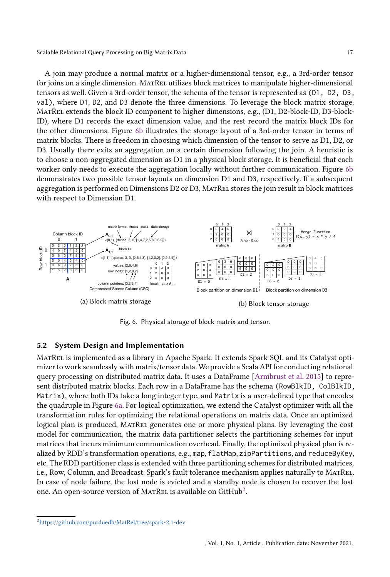A join may produce a normal matrix or a higher-dimensional tensor, e.g., a 3rd-order tensor for joins on a single dimension. MATREL utilizes block matrices to manipulate higher-dimensional tensors as well. Given a 3rd-order tensor, the schema of the tensor is represented as (D1, D2, D3, val), where D1, D2, and D3 denote the three dimensions. To leverage the block matrix storage, MatRel extends the block ID component to higher dimensions, e.g., (D1, D2-block-ID, D3-block-ID), where D1 records the exact dimension value, and the rest record the matrix block IDs for the other dimensions. Figure [6b](#page-16-0) illustrates the storage layout of a 3rd-order tensor in terms of matrix blocks. There is freedom in choosing which dimension of the tensor to serve as D1, D2, or D3. Usually there exits an aggregation on a certain dimension following the join. A heuristic is to choose a non-aggregated dimension as D1 in a physical block storage. It is beneficial that each worker only needs to execute the aggregation locally without further communication. Figure [6b](#page-16-0) demonstrates two possible tensor layouts on dimension D1 and D3, respectively. If a subsequent aggregation is performed on Dimensions D2 or D3, MatRel stores the join result in block matrices with respect to Dimension D1.

<span id="page-16-0"></span>

Fig. 6. Physical storage of block matrix and tensor.

#### 5.2 System Design and Implementation

MatRel is implemented as a library in Apache Spark. It extends Spark SQL and its Catalyst optimizer to work seamlessly with matrix/tensor data. We provide a Scala API for conducting relational query processing on distributed matrix data. It uses a DataFrame [\[Armbrust et al. 2015\]](#page-25-6) to represent distributed matrix blocks. Each row in a DataFrame has the schema (RowBlkID, ColBlkID, Matrix), where both IDs take a long integer type, and Matrix is a user-defined type that encodes the quadruple in Figure [6a.](#page-16-0) For logical optimization, we extend the Catalyst optimizer with all the transformation rules for optimizing the relational operations on matrix data. Once an optimized logical plan is produced, MatRel generates one or more physical plans. By leveraging the cost model for communication, the matrix data partitioner selects the partitioning schemes for input matrices that incurs minimum communication overhead. Finally, the optimized physical plan is realized by RDD's transformation operations, e.g., map, flatMap, zipPartitions, and reduceByKey, etc. The RDD partitioner class is extended with three partitioning schemes for distributed matrices, i.e., Row, Column, and Broadcast. Spark's fault tolerance mechanism applies naturally to MATREL. In case of node failure, the lost node is evicted and a standby node is chosen to recover the lost one. An open-source version of MATREL is available on GitHub<sup>[2](#page-16-1)</sup>.

<span id="page-16-1"></span><sup>2</sup><https://github.com/purduedb/MatRel/tree/spark-2.1-dev>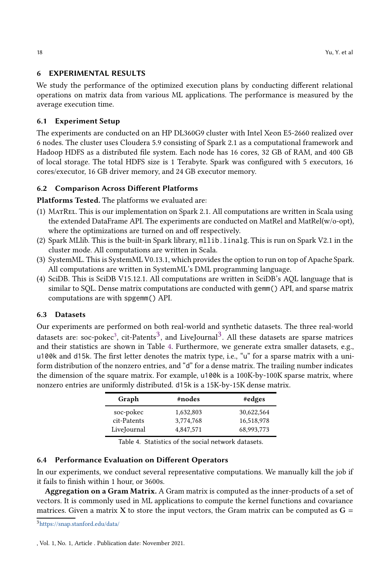# <span id="page-17-0"></span>6 EXPERIMENTAL RESULTS

We study the performance of the optimized execution plans by conducting different relational operations on matrix data from various ML applications. The performance is measured by the average execution time.

## 6.1 Experiment Setup

The experiments are conducted on an HP DL360G9 cluster with Intel Xeon E5-2660 realized over 6 nodes. The cluster uses Cloudera 5.9 consisting of Spark 2.1 as a computational framework and Hadoop HDFS as a distributed file system. Each node has 16 cores, 32 GB of RAM, and 400 GB of local storage. The total HDFS size is 1 Terabyte. Spark was configured with 5 executors, 16 cores/executor, 16 GB driver memory, and 24 GB executor memory.

# 6.2 Comparison Across Different Platforms

Platforms Tested. The platforms we evaluated are:

- (1) MatRel. This is our implementation on Spark 2.1. All computations are written in Scala using the extended DataFrame API. The experiments are conducted on MatRel and MatRel(w/o-opt), where the optimizations are turned on and off respectively.
- (2) Spark MLlib. This is the built-in Spark library, mllib.linalg. This is run on Spark V2.1 in the cluster mode. All computations are written in Scala.
- (3) SystemML. This is SystemML V0.13.1, which provides the option to run on top of Apache Spark. All computations are written in SystemML's DML programming language.
- (4) SciDB. This is SciDB V15.12.1. All computations are written in SciDB's AQL language that is similar to SQL. Dense matrix computations are conducted with gemm() API, and sparse matrix computations are with spgemm() API.

## 6.3 Datasets

Our experiments are performed on both real-world and synthetic datasets. The three real-world datasets are: soc-pokec<sup>[3](#page-17-1)</sup>, cit-Patents<sup>3</sup>, and LiveJournal<sup>3</sup>. All these datasets are sparse matrices and their statistics are shown in Table [4.](#page-17-2) Furthermore, we generate extra smaller datasets, e.g., u100k and d15k. The first letter denotes the matrix type, i.e., "u" for a sparse matrix with a uniform distribution of the nonzero entries, and "d" for a dense matrix. The trailing number indicates the dimension of the square matrix. For example, u100k is a 100K-by-100K sparse matrix, where nonzero entries are uniformly distributed. d15k is a 15K-by-15K dense matrix.

| Graph       | #nodes    | #edges     |
|-------------|-----------|------------|
| soc-pokec   | 1,632,803 | 30,622,564 |
| cit-Patents | 3,774,768 | 16,518,978 |
| LiveJournal | 4.847.571 | 68.993.773 |

<span id="page-17-2"></span>Table 4. Statistics of the social network datasets.

## 6.4 Performance Evaluation on Different Operators

In our experiments, we conduct several representative computations. We manually kill the job if it fails to finish within 1 hour, or 3600s.

Aggregation on a Gram Matrix. A Gram matrix is computed as the inner-products of a set of vectors. It is commonly used in ML applications to compute the kernel functions and covariance matrices. Given a matrix X to store the input vectors, the Gram matrix can be computed as  $G =$ 

<span id="page-17-1"></span><sup>3</sup><https://snap.stanford.edu/data/>

<sup>,</sup> Vol. 1, No. 1, Article . Publication date: November 2021.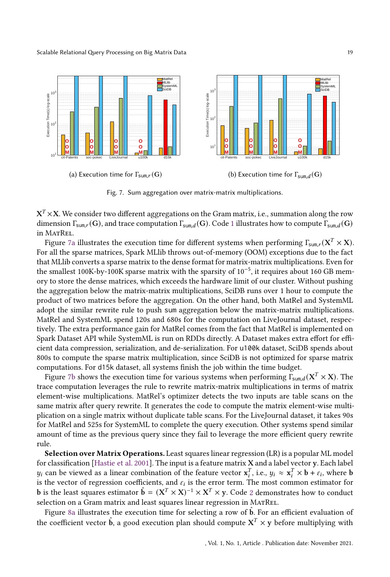<span id="page-18-0"></span>

Fig. 7. Sum aggregation over matrix-matrix multiplications.

 $\mathrm{X}^T \times \mathrm{X}$ . We consider two different aggregations on the Gram matrix, i.e., summation along the row dimension  $\Gamma_{sum,r}(G)$ , and trace computation  $\Gamma_{sum,l}(G)$ . Code [1](#page-27-4) illustrates how to compute  $\Gamma_{sum,l}(G)$ in MATREL.

Figure [7a](#page-18-0) illustrates the execution time for different systems when performing  $\Gamma_{\text{sum},r}(\mathbf{X}^T\times\mathbf{X}).$ For all the sparse matrices, Spark MLlib throws out-of-memory (OOM) exceptions due to the fact that MLlib converts a sparse matrix to the dense format for matrix-matrix multiplications. Even for the smallest 100K-by-100K sparse matrix with the sparsity of 10<sup>-5</sup>, it requires about 160 GB memory to store the dense matrices, which exceeds the hardware limit of our cluster. Without pushing the aggregation below the matrix-matrix multiplications, SciDB runs over 1 hour to compute the product of two matrices before the aggregation. On the other hand, both MatRel and SystemML adopt the similar rewrite rule to push sum aggregation below the matrix-matrix multiplications. MatRel and SystemML spend 120s and 680s for the computation on LiveJournal dataset, respectively. The extra performance gain for MatRel comes from the fact that MatRel is implemented on Spark Dataset API while SystemML is run on RDDs directly. A Dataset makes extra effort for efficient data compression, serialization, and de-serialization. For u100k dataset, SciDB spends about 800s to compute the sparse matrix multiplication, since SciDB is not optimized for sparse matrix computations. For d15k dataset, all systems finish the job within the time budget.

Figure [7b](#page-18-0) shows the execution time for various systems when performing  $\overline{\Gamma}_{sum,d}(\mathbf{X}^T\times\mathbf{X})$ . The trace computation leverages the rule to rewrite matrix-matrix multiplications in terms of matrix element-wise multiplications. MatRel's optimizer detects the two inputs are table scans on the same matrix after query rewrite. It generates the code to compute the matrix element-wise multiplication on a single matrix without duplicate table scans. For the LiveJournal dataset, it takes 90s for MatRel and 525s for SystemML to complete the query execution. Other systems spend similar amount of time as the previous query since they fail to leverage the more efficient query rewrite rule.

Selection over Matrix Operations. Least squares linear regression (LR) is a popular ML model for classification [\[Hastie et al. 2001](#page-26-3)]. The input is a feature matrix X and a label vector y. Each label  $y_i$  can be viewed as a linear combination of the feature vector  $\mathbf{x}_i^T$ , i.e.,  $y_i \approx \mathbf{x}_i^T \times \mathbf{b} + \varepsilon_i$ , where  $\mathbf{b}$ is the vector of regression coefficients, and  $\varepsilon_i$  is the error term. The most common estimator for **b** is the least squares estimator  $\hat{\mathbf{b}} = (\mathbf{X}^T \times \mathbf{X})^{-1} \times \mathbf{X}^T \times \mathbf{y}$ . Code [2](#page-27-5) demonstrates how to conduct selection on a Gram matrix and least squares linear regression in MatRel.

Figure [8a](#page-19-0) illustrates the execution time for selecting a row of  $\hat{b}$ . For an efficient evaluation of the coefficient vector  $\hat{\mathbf{b}}$ , a good execution plan should compute  $\mathbf{X}^T\times\mathbf{y}$  before multiplying with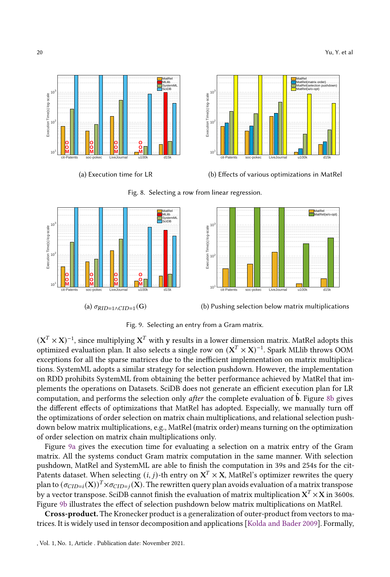<span id="page-19-0"></span>

<span id="page-19-1"></span>

Fig. 8. Selecting a row from linear regression.



(b) Pushing selection below matrix multiplications

Fig. 9. Selecting an entry from a Gram matrix.

 $(\textbf{X}^T\times \textbf{X})^{-1}$ , since multiplying  $\textbf{X}^T$  with  $\textbf{y}$  results in a lower dimension matrix. MatRel adopts this optimized evaluation plan. It also selects a single row on  $(\mathrm{X}^T\times \mathrm{X})^{-1}.$  Spark MLlib throws OOM exceptions for all the sparse matrices due to the inefficient implementation on matrix multiplications. SystemML adopts a similar strategy for selection pushdown. However, the implementation on RDD prohibits SystemML from obtaining the better performance achieved by MatRel that implements the operations on Datasets. SciDB does not generate an efficient execution plan for LR computation, and performs the selection only *after* the complete evaluation of  $\hat{b}$ . Figure [8b](#page-19-0) gives the different effects of optimizations that MatRel has adopted. Especially, we manually turn off the optimizations of order selection on matrix chain multiplications, and relational selection pushdown below matrix multiplications, e.g., MatRel (matrix order) means turning on the optimization of order selection on matrix chain multiplications only.

Figure [9a](#page-19-1) gives the execution time for evaluating a selection on a matrix entry of the Gram matrix. All the systems conduct Gram matrix computation in the same manner. With selection pushdown, MatRel and SystemML are able to finish the computation in 39s and 254s for the cit-Patents dataset. When selecting  $(i,j)$ -th entry on  $\textbf{X}^T\times \textbf{X}$ , MatRel's optimizer rewrites the query plan to  $(\sigma_{CID=i}(X))^T \times \sigma_{CID=j}(X)$ . The rewritten query plan avoids evaluation of a matrix transpose by a vector transpose. SciDB cannot finish the evaluation of matrix multiplication  $\mathrm{X}^T\times \mathrm{X}$  in 3600s. Figure [9b](#page-19-1) illustrates the effect of selection pushdown below matrix multiplications on MatRel.

Cross-product. The Kronecker product is a generalization of outer-product from vectors to matrices. It is widely used in tensor decomposition and applications [\[Kolda and Bader 2009\]](#page-26-4). Formally,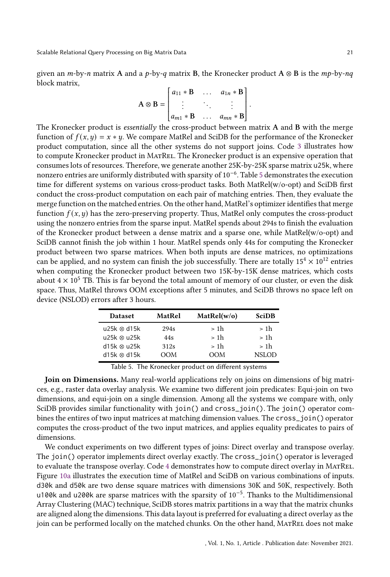given an  $m$ -by- $n$  matrix A and a  $p$ -by- $q$  matrix B, the Kronecker product A ⊗ B is the  $mp$ -by- $nq$ block matrix,

$$
\mathbf{A} \otimes \mathbf{B} = \begin{bmatrix} a_{11} * \mathbf{B} & \dots & a_{1n} * \mathbf{B} \\ \vdots & \ddots & \vdots \\ a_{m1} * \mathbf{B} & \dots & a_{mn} * \mathbf{B} \end{bmatrix}.
$$

 The Kronecker product is essentially the cross-product between matrix A and B with the merge function of  $f(x, y) = x * y$ . We compare MatRel and SciDB for the performance of the Kronecker product computation, since all the other systems do not support joins. Code [3](#page-27-6) illustrates how to compute Kronecker product in MatRel. The Kronecker product is an expensive operation that consumes lots of resources. Therefore, we generate another 25K-by-25K sparse matrix u25k, where nonzero entries are uniformly distributed with sparsity of 10 $^{\rm -6}.$  Table [5](#page-20-0) demonstrates the execution time for different systems on various cross-product tasks. Both MatRel(w/o-opt) and SciDB first conduct the cross-product computation on each pair of matching entries. Then, they evaluate the merge function on the matched entries. On the other hand, MatRel's optimizer identifies that merge function  $f(x, y)$  has the zero-preserving property. Thus, MatRel only computes the cross-product using the nonzero entries from the sparse input. MatRel spends about 294s to finish the evaluation of the Kronecker product between a dense matrix and a sparse one, while MatRel(w/o-opt) and SciDB cannot finish the job within 1 hour. MatRel spends only 44s for computing the Kronecker product between two sparse matrices. When both inputs are dense matrices, no optimizations can be applied, and no system can finish the job successfully. There are totally  $15^4 \times 10^{12}$  entries when computing the Kronecker product between two 15K-by-15K dense matrices, which costs about  $4 \times 10^5$  TB. This is far beyond the total amount of memory of our cluster, or even the disk space. Thus, MatRel throws OOM exceptions after 5 minutes, and SciDB throws no space left on device (NSLOD) errors after 3 hours.

| <b>Dataset</b>      | MatRel           | MatRel(w/o) | <b>SciDB</b> |
|---------------------|------------------|-------------|--------------|
| $u25k \otimes d15k$ | 294 <sub>s</sub> | > 1h        | > 1h         |
| u25k ⊗ u25k         | 44s              | > 1h        | > 1h         |
| d15k ⊗ u25k         | 312s             | > 1h        | > 1h         |
| $d15k \otimes d15k$ | OOM              | OOM         | <b>NSLOD</b> |

<span id="page-20-0"></span>Table 5. The Kronecker product on different systems

Join on Dimensions. Many real-world applications rely on joins on dimensions of big matrices, e.g., raster data overlay analysis. We examine two different join predicates: Equi-join on two dimensions, and equi-join on a single dimension. Among all the systems we compare with, only SciDB provides similar functionality with join() and cross\_join(). The join() operator combines the entires of two input matrices at matching dimension values. The cross\_join() operator computes the cross-product of the two input matrices, and applies equality predicates to pairs of dimensions.

We conduct experiments on two different types of joins: Direct overlay and transpose overlay. The join() operator implements direct overlay exactly. The cross\_join() operator is leveraged to evaluate the transpose overlay. Code [4](#page-27-7) demonstrates how to compute direct overlay in MatRel. Figure [10a](#page-21-0) illustrates the execution time of MatRel and SciDB on various combinations of inputs. d30k and d50k are two dense square matrices with dimensions 30K and 50K, respectively. Both u100k and u200k are sparse matrices with the sparsity of 10−<sup>5</sup> . Thanks to the Multidimensional Array Clustering (MAC) technique, SciDB stores matrix partitions in a way that the matrix chunks are aligned along the dimensions. This data layout is preferred for evaluating a direct overlay as the join can be performed locally on the matched chunks. On the other hand, MATREL does not make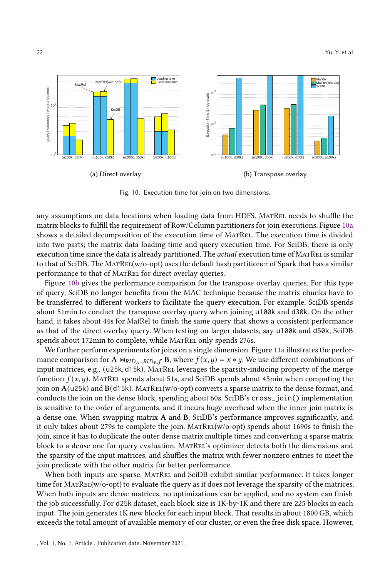<span id="page-21-0"></span>

Fig. 10. Execution time for join on two dimensions.

any assumptions on data locations when loading data from HDFS. MATREL needs to shuffle the matrix blocks to fulfill the requirement of Row/Column partitioners for join executions. Figure [10a](#page-21-0) shows a detailed decomposition of the execution time of MatRel. The execution time is divided into two parts; the matrix data loading time and query execution time. For SciDB, there is only execution time since the data is already partitioned. The *actual* execution time of MATREL is similar to that of SciDB. The MatRel(w/o-opt) uses the default hash partitioner of Spark that has a similar performance to that of MATREL for direct overlay queries.

Figure [10b](#page-21-0) gives the performance comparison for the transpose overlay queries. For this type of query, SciDB no longer benefits from the MAC technique because the matrix chunks have to be transferred to different workers to facilitate the query execution. For example, SciDB spends about 51min to conduct the transpose overlay query when joining u100k and d30k. On the other hand, it takes about 44s for MatRel to finish the same query that shows a consistent performance as that of the direct overlay query. When testing on larger datasets, say u100k and d50k, SciDB spends about 172min to complete, while MATREL only spends 276s.

We further perform experiments for joins on a single dimension. Figure [11a](#page-22-0) illustrates the performance comparison for A  $\bowtie$ <sub>RIDA</sub>=RID<sub>B</sub>, B, where  $f(x, y) = x * y$ . We use different combinations of input matrices, e.g., (u25k, d15k). MATREL leverages the sparsity-inducing property of the merge function  $f(x, y)$ . MatRel spends about 51s, and SciDB spends about 45min when computing the join on  $A(125k)$  and  $B(15k)$ . MATREL(w/o-opt) converts a sparse matrix to the dense format, and conducts the join on the dense block, spending about 60s. SciDB's cross\_join() implementation is sensitive to the order of arguments, and it incurs huge overhead when the inner join matrix is a dense one. When swapping matrix A and B, SciDB's performance improves significantly, and it only takes about 279s to complete the join. MatRel(w/o-opt) spends about 1690s to finish the join, since it has to duplicate the outer dense matrix multiple times and converting a sparse matrix block to a dense one for query evaluation. MATREL's optimizer detects both the dimensions and the sparsity of the input matrices, and shuffles the matrix with fewer nonzero entries to meet the join predicate with the other matrix for better performance.

When both inputs are sparse, MatRel and SciDB exhibit similar performance. It takes longer time for MATREL(w/o-opt) to evaluate the query as it does not leverage the sparsity of the matrices. When both inputs are dense matrices, no optimizations can be applied, and no system can finish the job successfully. For d25k dataset, each block size is 1K-by-1K and there are 225 blocks in each input. The join generates 1K new blocks for each input block. That results in about 1800 GB, which exceeds the total amount of available memory of our cluster, or even the free disk space. However,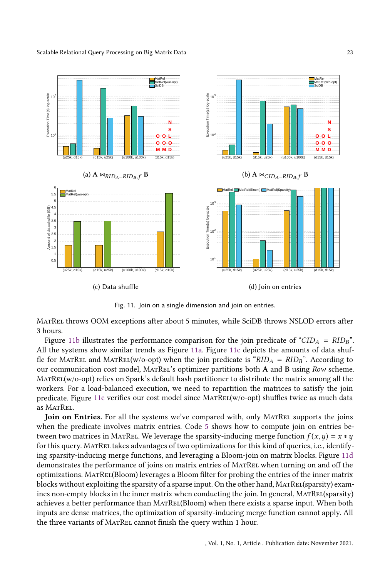<span id="page-22-0"></span>

Fig. 11. Join on a single dimension and join on entries.

MatRel throws OOM exceptions after about 5 minutes, while SciDB throws NSLOD errors after 3 hours.

Figure [11b](#page-22-0) illustrates the performance comparison for the join predicate of " $CID_A = RID_B$ ". All the systems show similar trends as Figure [11a.](#page-22-0) Figure [11c](#page-22-0) depicts the amounts of data shuffle for MATREL and MATREL(w/o-opt) when the join predicate is " $RID_A = RID_B$ ". According to our communication cost model, MatRel's optimizer partitions both A and B using Row scheme. MatRel(w/o-opt) relies on Spark's default hash partitioner to distribute the matrix among all the workers. For a load-balanced execution, we need to repartition the matrices to satisfy the join predicate. Figure [11c](#page-22-0) verifies our cost model since MATREL(w/o-opt) shuffles twice as much data as MATREL.

Join on Entries. For all the systems we've compared with, only MATREL supports the joins when the predicate involves matrix entries. Code [5](#page-27-8) shows how to compute join on entries between two matrices in MATREL. We leverage the sparsity-inducing merge function  $f(x, y) = x * y$ for this query. MatRel takes advantages of two optimizations for this kind of queries, i.e., identifying sparsity-inducing merge functions, and leveraging a Bloom-join on matrix blocks. Figure [11d](#page-22-0) demonstrates the performance of joins on matrix entries of MATREL when turning on and off the optimizations. MatRel(Bloom) leverages a Bloom filter for probing the entries of the inner matrix blocks without exploiting the sparsity of a sparse input. On the other hand, MATREL(sparsity) examines non-empty blocks in the inner matrix when conducting the join. In general, MatRel(sparsity) achieves a better performance than MatRel(Bloom) when there exists a sparse input. When both inputs are dense matrices, the optimization of sparsity-inducing merge function cannot apply. All the three variants of MatRel cannot finish the query within 1 hour.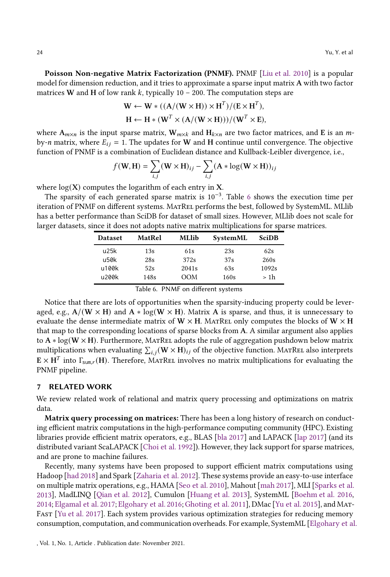Poisson Non-negative Matrix Factorization (PNMF). PNMF [\[Liu et al. 2010](#page-26-7)] is a popular model for dimension reduction, and it tries to approximate a sparse input matrix A with two factor matrices W and H of low rank  $k$ , typically 10 – 200. The computation steps are

$$
\mathbf{W} \leftarrow \mathbf{W} * ((\mathbf{A}/(\mathbf{W} \times \mathbf{H})) \times \mathbf{H}^T) / (\mathbf{E} \times \mathbf{H}^T),
$$
  
\n
$$
\mathbf{H} \leftarrow \mathbf{H} * (\mathbf{W}^T \times (\mathbf{A}/(\mathbf{W} \times \mathbf{H}))) / (\mathbf{W}^T \times \mathbf{E}),
$$

where  $A_{m\times n}$  is the input sparse matrix,  $W_{m\times k}$  and  $H_{k\times n}$  are two factor matrices, and E is an *m*by-*n* matrix, where  $E_{ij} = 1$ . The updates for **W** and **H** continue until convergence. The objective function of PNMF is a combination of Euclidean distance and Kullback-Leibler divergence, i.e.,

$$
f(\mathbf{W}, \mathbf{H}) = \sum_{i,j} (\mathbf{W} \times \mathbf{H})_{ij} - \sum_{i,j} (\mathbf{A} * \log(\mathbf{W} \times \mathbf{H}))_{ij}
$$

where  $log(X)$  computes the logarithm of each entry in X.

The sparsity of each generated sparse matrix is  $10^{-3}$ . Table [6](#page-23-1) shows the execution time per iteration of PNMF on different systems. MatRel performs the best, followed by SystemML. MLlib has a better performance than SciDB for dataset of small sizes. However, MLlib does not scale for larger datasets, since it does not adopts native matrix multiplications for sparse matrices.

| <b>Dataset</b> | MatRel | <b>MLlib</b> | SystemML | <b>SciDB</b> |
|----------------|--------|--------------|----------|--------------|
| u25k           | 13s    | 61s          | 23s      | 62s          |
| u50k           | 28s    | 372s         | 37s      | 260s         |
| u100k          | 52s    | 2041s        | 63s      | 1092s        |
| u200k          | 148s   | ООМ          | 160s     | > 1h         |

<span id="page-23-1"></span>Table 6. PNMF on different systems

Notice that there are lots of opportunities when the sparsity-inducing property could be leveraged, e.g.,  $A/(W \times H)$  and  $A * log(W \times H)$ . Matrix A is sparse, and thus, it is unnecessary to evaluate the dense intermediate matrix of  $W \times H$ . MATREL only computes the blocks of  $W \times H$ that map to the corresponding locations of sparse blocks from A. A similar argument also applies to  $A * log(W \times H)$ . Furthermore, MATREL adopts the rule of aggregation pushdown below matrix multiplications when evaluating  $\sum_{i,j} (\mathbf{W} \times \mathbf{H})_{ij}$  of the objective function. MatRel also interprets  $\mathbf{E}\times\mathbf{H}^{T}$  into  $\Gamma_{\text{sum},r}(\mathbf{H})$ . Therefore, MATREL involves no matrix multiplications for evaluating the PNMF pipeline.

## <span id="page-23-0"></span>7 RELATED WORK

We review related work of relational and matrix query processing and optimizations on matrix data.

Matrix query processing on matrices: There has been a long history of research on conducting efficient matrix computations in the high-performance computing community (HPC). Existing libraries provide efficient matrix operators, e.g., BLAS [\[bla 2017](#page-25-9)] and LAPACK [\[lap 2017\]](#page-25-10) (and its distributed variant ScaLAPACK [\[Choi et al. 1992](#page-25-11)]). However, they lack support for sparse matrices, and are prone to machine failures.

Recently, many systems have been proposed to support efficient matrix computations using Hadoop [\[had 2018\]](#page-25-12) and Spark [\[Zaharia et al. 2012\]](#page-27-0). These systems provide an easy-to-use interface on multiple matrix operations, e.g., HAMA [\[Seo et al. 2010\]](#page-26-8), Mahout [\[mah 2017\]](#page-25-2), MLI [\[Sparks et al.](#page-27-9) [2013\]](#page-27-9), MadLINQ [\[Qian et al. 2012\]](#page-26-9), Cumulon [\[Huang et al. 2013](#page-26-10)], SystemML [\[Boehm et al. 2016](#page-25-13), [2014;](#page-25-14) [Elgamal et al. 2017;](#page-26-11) [Elgohary et al. 2016;](#page-26-12)[Ghoting et al. 2011](#page-26-2)], DMac [\[Yu et al. 2015](#page-27-1)], and Mat-Fast [\[Yu et al. 2017\]](#page-27-2). Each system provides various optimization strategies for reducing memory consumption, computation, and communication overheads. For example, SystemML [\[Elgohary et al.](#page-26-12)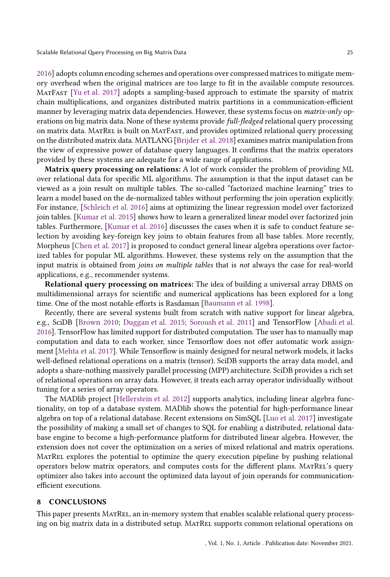[2016\]](#page-26-12) adopts column encoding schemes and operations over compressed matrices to mitigate memory overhead when the original matrices are too large to fit in the available compute resources. MatFast [\[Yu et al. 2017](#page-27-2)] adopts a sampling-based approach to estimate the sparsity of matrix chain multiplications, and organizes distributed matrix partitions in a communication-efficient manner by leveraging matrix data dependencies. However, these systems focus on *matrix-only* operations on big matrix data. None of these systems provide full-fledged relational query processing on matrix data. MatRel is built on MatFast, and provides optimized relational query processing on the distributed matrix data. MATLANG [\[Brijder et al. 2018\]](#page-25-15) examines matrix manipulation from the view of expressive power of database query languages. It confirms that the matrix operators provided by these systems are adequate for a wide range of applications.

Matrix query processing on relations: A lot of work consider the problem of providing ML over relational data for specific ML algorithms. The assumption is that the input dataset can be viewed as a join result on multiple tables. The so-called "factorized machine learning" tries to learn a model based on the de-normalized tables without performing the join operation explicitly. For instance, [\[Schleich et al. 2016\]](#page-26-13) aims at optimizing the linear regression model over factorized join tables. [\[Kumar et al. 2015\]](#page-26-14) shows how to learn a generalized linear model over factorized join tables. Furthermore, [\[Kumar et al. 2016](#page-26-15)] discusses the cases when it is safe to conduct feature selection by avoiding key-foreign key joins to obtain features from all base tables. More recently, Morpheus [\[Chen et al. 2017\]](#page-25-16) is proposed to conduct general linear algebra operations over factorized tables for popular ML algorithms. However, these systems rely on the assumption that the input matrix is obtained from joins on multiple tables that is not always the case for real-world applications, e.g., recommender systems.

Relational query processing on matrices: The idea of building a universal array DBMS on multidimensional arrays for scientific and numerical applications has been explored for a long time. One of the most notable efforts is Rasdaman [\[Baumann et al. 1998](#page-25-17)].

Recently, there are several systems built from scratch with native support for linear algebra, e.g., SciDB [\[Brown 2010;](#page-25-5) [Duggan et al. 2015;](#page-26-16) [Soroush et al. 2011](#page-26-17)] and TensorFlow [\[Abadi et al.](#page-25-18) [2016\]](#page-25-18). TensorFlow has limited support for distributed computation. The user has to manually map computation and data to each worker, since Tensorflow does not offer automatic work assignment [\[Mehta et al. 2017\]](#page-26-18). While Tensorflow is mainly designed for neural network models, it lacks well-defined relational operations on a matrix (tensor). SciDB supports the array data model, and adopts a share-nothing massively parallel processing (MPP) architecture. SciDB provides a rich set of relational operations on array data. However, it treats each array operator individually without tuning for a series of array operators.

The MADlib project [\[Hellerstein et al. 2012\]](#page-26-19) supports analytics, including linear algebra functionality, on top of a database system. MADlib shows the potential for high-performance linear algebra on top of a relational database. Recent extensions on SimSQL [\[Luo et al. 2017](#page-26-20)] investigate the possibility of making a small set of changes to SQL for enabling a distributed, relational database engine to become a high-performance platform for distributed linear algebra. However, the extension does not cover the optimization on a series of mixed relational and matrix operations. MatRel explores the potential to optimize the query execution pipeline by pushing relational operators below matrix operators, and computes costs for the different plans. MatRel's query optimizer also takes into account the optimized data layout of join operands for communicationefficient executions.

#### <span id="page-24-0"></span>8 CONCLUSIONS

This paper presents MatRel, an in-memory system that enables scalable relational query processing on big matrix data in a distributed setup. MatRel supports common relational operations on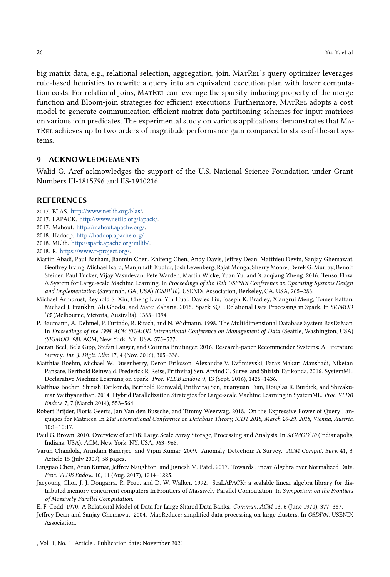big matrix data, e.g., relational selection, aggregation, join. MATREL's query optimizer leverages rule-based heuristics to rewrite a query into an equivalent execution plan with lower computation costs. For relational joins, MatRel can leverage the sparsity-inducing property of the merge function and Bloom-join strategies for efficient executions. Furthermore, MatRel adopts a cost model to generate communication-efficient matrix data partitioning schemes for input matrices on various join predicates. The experimental study on various applications demonstrates that MatRel achieves up to two orders of magnitude performance gain compared to state-of-the-art systems.

#### 9 ACKNOWLEDGEMENTS

Walid G. Aref acknowledges the support of the U.S. National Science Foundation under Grant Numbers III-1815796 and IIS-1910216.

#### **REFERENCES**

- <span id="page-25-9"></span>2017. BLAS. [http://www.netlib.org/blas/.](http://www.netlib.org/blas/)
- <span id="page-25-10"></span>2017. LAPACK. [http://www.netlib.org/lapack/.](http://www.netlib.org/lapack/)
- <span id="page-25-2"></span>2017. Mahout. [http://mahout.apache.org/.](http://mahout.apache.org/)
- <span id="page-25-12"></span>2018. Hadoop. [http://hadoop.apache.org/.](http://hadoop.apache.org/)
- <span id="page-25-3"></span>2018. MLlib. [http://spark.apache.org/mllib/.](http://spark.apache.org/mllib/)
- <span id="page-25-4"></span>2018. R. [https://www.r-project.org/.](https://www.r-project.org/)
- <span id="page-25-18"></span>Martín Abadi, Paul Barham, Jianmin Chen, Zhifeng Chen, Andy Davis, Jeffrey Dean, Matthieu Devin, Sanjay Ghemawat, Geoffrey Irving, Michael Isard, Manjunath Kudlur, Josh Levenberg, Rajat Monga, Sherry Moore, Derek G. Murray, Benoit Steiner, Paul Tucker, Vijay Vasudevan, Pete Warden, Martin Wicke, Yuan Yu, and Xiaoqiang Zheng. 2016. TensorFlow: A System for Large-scale Machine Learning. In Proceedings of the 12th USENIX Conference on Operating Systems Design and Implementation (Savannah, GA, USA) (OSDI'16). USENIX Association, Berkeley, CA, USA, 265–283.
- <span id="page-25-6"></span>Michael Armbrust, Reynold S. Xin, Cheng Lian, Yin Huai, Davies Liu, Joseph K. Bradley, Xiangrui Meng, Tomer Kaftan, Michael J. Franklin, Ali Ghodsi, and Matei Zaharia. 2015. Spark SQL: Relational Data Processing in Spark. In SIGMOD '15 (Melbourne, Victoria, Australia). 1383–1394.
- <span id="page-25-17"></span>P. Baumann, A. Dehmel, P. Furtado, R. Ritsch, and N. Widmann. 1998. The Multidimensional Database System RasDaMan. In Proceedings of the 1998 ACM SIGMOD International Conference on Management of Data (Seattle, Washington, USA) (SIGMOD '98). ACM, New York, NY, USA, 575–577.
- <span id="page-25-0"></span>Joeran Beel, Bela Gipp, Stefan Langer, and Corinna Breitinger. 2016. Research-paper Recommender Systems: A Literature Survey. Int. J. Digit. Libr. 17, 4 (Nov. 2016), 305–338.
- <span id="page-25-13"></span>Matthias Boehm, Michael W. Dusenberry, Deron Eriksson, Alexandre V. Evfimievski, Faraz Makari Manshadi, Niketan Pansare, Berthold Reinwald, Frederick R. Reiss, Prithviraj Sen, Arvind C. Surve, and Shirish Tatikonda. 2016. SystemML: Declarative Machine Learning on Spark. Proc. VLDB Endow. 9, 13 (Sept. 2016), 1425–1436.
- <span id="page-25-14"></span>Matthias Boehm, Shirish Tatikonda, Berthold Reinwald, Prithviraj Sen, Yuanyuan Tian, Douglas R. Burdick, and Shivakumar Vaithyanathan. 2014. Hybrid Parallelization Strategies for Large-scale Machine Learning in SystemML. Proc. VLDB Endow. 7, 7 (March 2014), 553–564.
- <span id="page-25-15"></span>Robert Brijder, Floris Geerts, Jan Van den Bussche, and Timmy Weerwag. 2018. On the Expressive Power of Query Languages for Matrices. In 21st International Conference on Database Theory, ICDT 2018, March 26-29, 2018, Vienna, Austria. 10:1–10:17.
- <span id="page-25-5"></span>Paul G. Brown. 2010. Overview of sciDB: Large Scale Array Storage, Processing and Analysis. In SIGMOD'10 (Indianapolis, Indiana, USA). ACM, New York, NY, USA, 963–968.
- <span id="page-25-8"></span>Varun Chandola, Arindam Banerjee, and Vipin Kumar. 2009. Anomaly Detection: A Survey. ACM Comput. Surv. 41, 3, Article 15 (July 2009), 58 pages.
- <span id="page-25-16"></span>Lingjiao Chen, Arun Kumar, Jeffrey Naughton, and Jignesh M. Patel. 2017. Towards Linear Algebra over Normalized Data. Proc. VLDB Endow. 10, 11 (Aug. 2017), 1214–1225.
- <span id="page-25-11"></span>Jaeyoung Choi, J. J. Dongarra, R. Pozo, and D. W. Walker. 1992. ScaLAPACK: a scalable linear algebra library for distributed memory concurrent computers In Frontiers of Massively Parallel Computation. In Symposium on the Frontiers of Massively Parallel Computation.
- <span id="page-25-7"></span>E. F. Codd. 1970. A Relational Model of Data for Large Shared Data Banks. Commun. ACM 13, 6 (June 1970), 377–387.
- <span id="page-25-1"></span>Jeffrey Dean and Sanjay Ghemawat. 2004. MapReduce: simplified data processing on large clusters. In OSDI'04. USENIX Association.

, Vol. 1, No. 1, Article . Publication date: November 2021.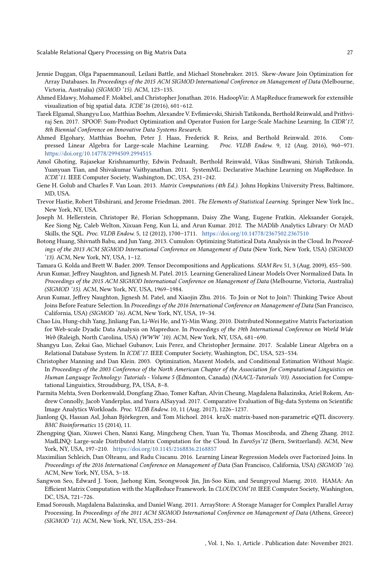- <span id="page-26-16"></span>Jennie Duggan, Olga Papaemmanouil, Leilani Battle, and Michael Stonebraker. 2015. Skew-Aware Join Optimization for Array Databases. In Proceedings of the 2015 ACM SIGMOD International Conference on Management of Data (Melbourne, Victoria, Australia) (SIGMOD '15). ACM, 123–135.
- <span id="page-26-6"></span>Ahmed Eldawy, Mohamed F. Mokbel, and Christopher Jonathan. 2016. HadoopViz: A MapReduce framework for extensible visualization of big spatial data. ICDE'16 (2016), 601–612.
- <span id="page-26-11"></span>Tarek Elgamal, Shangyu Luo, Matthias Boehm, Alexandre V. Evfimievski, Shirish Tatikonda, Berthold Reinwald, and Prithviraj Sen. 2017. SPOOF: Sum-Product Optimization and Operator Fusion for Large-Scale Machine Learning. In CIDR'17, 8th Biennial Conference on Innovative Data Systems Research.
- <span id="page-26-12"></span>Ahmed Elgohary, Matthias Boehm, Peter J. Haas, Frederick R. Reiss, and Berthold Reinwald. 2016. Compressed Linear Algebra for Large-scale Machine Learning. Proc. VLDB Endow. 9, 12 (Aug. 2016), 960–971. <https://doi.org/10.14778/2994509.2994515>
- <span id="page-26-2"></span>Amol Ghoting, Rajasekar Krishnamurthy, Edwin Pednault, Berthold Reinwald, Vikas Sindhwani, Shirish Tatikonda, Yuanyuan Tian, and Shivakumar Vaithyanathan. 2011. SystemML: Declarative Machine Learning on MapReduce. In ICDE'11. IEEE Computer Society, Washington, DC, USA, 231–242.
- <span id="page-26-5"></span>Gene H. Golub and Charles F. Van Loan. 2013. Matrix Computations (4th Ed.). Johns Hopkins University Press, Baltimore, MD, USA.
- <span id="page-26-3"></span>Trevor Hastie, Robert Tibshirani, and Jerome Friedman. 2001. The Elements of Statistical Learning. Springer New York Inc., New York, NY, USA.
- <span id="page-26-19"></span>Joseph M. Hellerstein, Christoper Ré, Florian Schoppmann, Daisy Zhe Wang, Eugene Fratkin, Aleksander Gorajek, Kee Siong Ng, Caleb Welton, Xixuan Feng, Kun Li, and Arun Kumar. 2012. The MADlib Analytics Library: Or MAD Skills, the SQL. Proc. VLDB Endow. 5, 12 (2012), 1700–1711. <https://doi.org/10.14778/2367502.2367510>
- <span id="page-26-10"></span>Botong Huang, Shivnath Babu, and Jun Yang. 2013. Cumulon: Optimizing Statistical Data Analysis in the Cloud. In Proceedings of the 2013 ACM SIGMOD International Conference on Management of Data (New York, New York, USA) (SIGMOD '13). ACM, New York, NY, USA, 1–12.
- <span id="page-26-4"></span>Tamara G. Kolda and Brett W. Bader. 2009. Tensor Decompositions and Applications. SIAM Rev. 51, 3 (Aug. 2009), 455–500.
- <span id="page-26-14"></span>Arun Kumar, Jeffrey Naughton, and Jignesh M. Patel. 2015. Learning Generalized Linear Models Over Normalized Data. In Proceedings of the 2015 ACM SIGMOD International Conference on Management of Data (Melbourne, Victoria, Australia) (SIGMOD '15). ACM, New York, NY, USA, 1969–1984.
- <span id="page-26-15"></span>Arun Kumar, Jeffrey Naughton, Jignesh M. Patel, and Xiaojin Zhu. 2016. To Join or Not to Join?: Thinking Twice About Joins Before Feature Selection. In Proceedings of the 2016 International Conference on Management of Data (San Francisco, California, USA) (SIGMOD '16). ACM, New York, NY, USA, 19–34.
- <span id="page-26-7"></span>Chao Liu, Hung-chih Yang, Jinliang Fan, Li-Wei He, and Yi-Min Wang. 2010. Distributed Nonnegative Matrix Factorization for Web-scale Dyadic Data Analysis on Mapreduce. In Proceedings of the 19th International Conference on World Wide Web (Raleigh, North Carolina, USA) (WWW '10). ACM, New York, NY, USA, 681–690.
- <span id="page-26-20"></span>Shangyu Luo, Zekai Gao, Michael Gubanov, Luis Perez, and Christopher Jermaine. 2017. Scalable Linear Algebra on a Relational Database System. In ICDE'17. IEEE Computer Society, Washington, DC, USA, 523–534.
- <span id="page-26-0"></span>Christopher Manning and Dan Klein. 2003. Optimization, Maxent Models, and Conditional Estimation Without Magic. In Proceedings of the 2003 Conference of the North American Chapter of the Association for Computational Linguistics on Human Language Technology: Tutorials - Volume 5 (Edmonton, Canada) (NAACL-Tutorials '03). Association for Computational Linguistics, Stroudsburg, PA, USA, 8–8.
- <span id="page-26-18"></span>Parmita Mehta, Sven Dorkenwald, Dongfang Zhao, Tomer Kaftan, Alvin Cheung, Magdalena Balazinska, Ariel Rokem, Andrew Connolly, Jacob Vanderplas, and Yusra AlSayyad. 2017. Comparative Evaluation of Big-data Systems on Scientific Image Analytics Workloads. Proc. VLDB Endow. 10, 11 (Aug. 2017), 1226–1237.
- <span id="page-26-1"></span>Jianlong Qi, Hassan Asl, Johan Björkegren, and Tom Michoel. 2014. kruX: matrix-based non-parametric eQTL discovery. BMC Bioinformatics 15 (2014), 11.
- <span id="page-26-9"></span>Zhengping Qian, Xiuwei Chen, Nanxi Kang, Mingcheng Chen, Yuan Yu, Thomas Moscibroda, and Zheng Zhang. 2012. MadLINQ: Large-scale Distributed Matrix Computation for the Cloud. In EuroSys'12 (Bern, Switzerland). ACM, New York, NY, USA, 197–210. <https://doi.org/10.1145/2168836.2168857>
- <span id="page-26-13"></span>Maximilian Schleich, Dan Olteanu, and Radu Ciucanu. 2016. Learning Linear Regression Models over Factorized Joins. In Proceedings of the 2016 International Conference on Management of Data (San Francisco, California, USA) (SIGMOD '16). ACM, New York, NY, USA, 3–18.
- <span id="page-26-8"></span>Sangwon Seo, Edward J. Yoon, Jaehong Kim, Seongwook Jin, Jin-Soo Kim, and Seungryoul Maeng. 2010. HAMA: An Efficient Matrix Computation with the MapReduce Framework. In CLOUDCOM'10. IEEE Computer Society, Washington, DC, USA, 721–726.
- <span id="page-26-17"></span>Emad Soroush, Magdalena Balazinska, and Daniel Wang. 2011. ArrayStore: A Storage Manager for Complex Parallel Array Processing. In Proceedings of the 2011 ACM SIGMOD International Conference on Management of Data (Athens, Greece) (SIGMOD '11). ACM, New York, NY, USA, 253–264.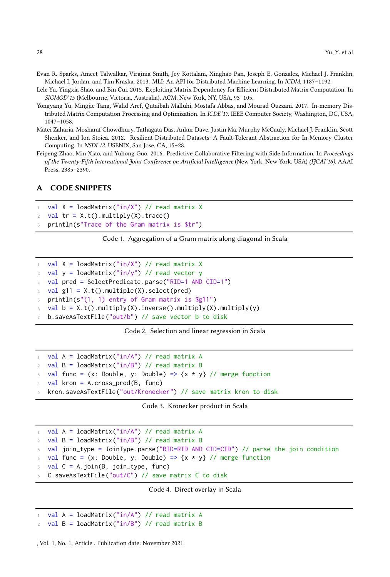<span id="page-27-9"></span>Evan R. Sparks, Ameet Talwalkar, Virginia Smith, Jey Kottalam, Xinghao Pan, Joseph E. Gonzalez, Michael J. Franklin, Michael I. Jordan, and Tim Kraska. 2013. MLI: An API for Distributed Machine Learning. In ICDM. 1187–1192.

<span id="page-27-1"></span>Lele Yu, Yingxia Shao, and Bin Cui. 2015. Exploiting Matrix Dependency for Efficient Distributed Matrix Computation. In SIGMOD'15 (Melbourne, Victoria, Australia). ACM, New York, NY, USA, 93–105.

<span id="page-27-2"></span>Yongyang Yu, Mingjie Tang, Walid Aref, Qutaibah Malluhi, Mostafa Abbas, and Mourad Ouzzani. 2017. In-memory Distributed Matrix Computation Processing and Optimization. In ICDE'17. IEEE Computer Society, Washington, DC, USA, 1047–1058.

<span id="page-27-0"></span>Matei Zaharia, Mosharaf Chowdhury, Tathagata Das, Ankur Dave, Justin Ma, Murphy McCauly, Michael J. Franklin, Scott Shenker, and Ion Stoica. 2012. Resilient Distributed Datasets: A Fault-Tolerant Abstraction for In-Memory Cluster Computing. In NSDI'12. USENIX, San Jose, CA, 15–28.

<span id="page-27-3"></span>Feipeng Zhao, Min Xiao, and Yuhong Guo. 2016. Predictive Collaborative Filtering with Side Information. In Proceedings of the Twenty-Fifth International Joint Conference on Artificial Intelligence (New York, New York, USA) (IJCAI'16). AAAI Press, 2385–2390.

#### <span id="page-27-4"></span>A CODE SNIPPETS

```
val X = loadMatrix("in/X") // read matrix X
```

```
2 val tr = X.t() . multiply(X).trace()
```

```
println(s"Trace of the Gram matrix is $tr")
```
Code 1. Aggregation of a Gram matrix along diagonal in Scala

```
1 val X = loadMatrix("in/X") // read matrix X
2 val y = loadMatrix("in/y") // read vector yval pred = SelectPredicate.parse("RID=1 AND CID=1")
  val g11 = X.t() . multiple(X).select(pred)println(s"(1, 1) entry of Gram matrix is $g11")
6 val b = X.t() . multiply(X).inverse() . multiply(X).multiply(Y)b.saveAsTextFile("out/b") // save vector b to disk
```
Code 2. Selection and linear regression in Scala

```
1 val A = loadMatrix("in/A") // read matrix A
2 val B = loadMatrix("in/B") // read matrix B
  val func = (x: Double, y: Double) => {x * y} // merge function
  val kron = A.cross_prod(B, func)
  5 kron.saveAsTextFile("out/Kronecker") // save matrix kron to disk
```
Code 3. Kronecker product in Scala

```
1 val A = loadMatrix("in/A") // read matrix A
2 val B = loadMatrix("in/B") // read matrix B
  val join_type = JoinType.parse("RID=RID AND CID=CID") // parse the join condition
4 val func = (x: Double, y: Double) => \{x * y\} // merge function
  val C = A.join(B, join_type, func)
  6 C.saveAsTextFile("out/C") // save matrix C to disk
```
Code 4. Direct overlay in Scala

<span id="page-27-8"></span> $1$  val A = loadMatrix("in/A") // read matrix A

 $2$  val B = loadMatrix("in/B") // read matrix B

, Vol. 1, No. 1, Article . Publication date: November 2021.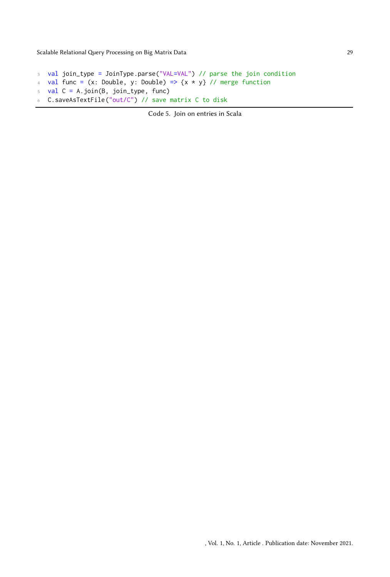```
3 val join_type = JoinType.parse("VAL=VAL") // parse the join condition
4 val func = (x: Double, y: Double) => \{x * y\} // merge function
5 val C = A.join(B, join_type, func)
6 C.saveAsTextFile("out/C") // save matrix C to disk
```
Code 5. Join on entries in Scala